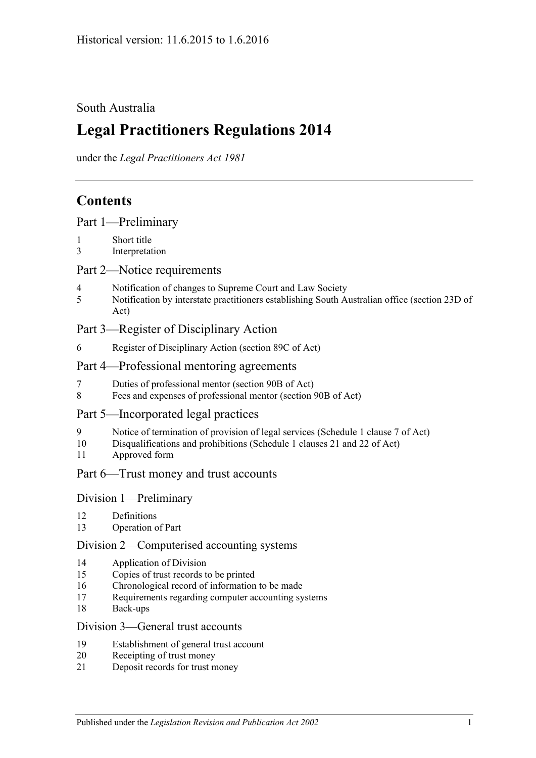## South Australia

# **Legal Practitioners Regulations 2014**

under the *Legal Practitioners Act 1981*

# **Contents**

|  |  | Part 1-Preliminary |  |
|--|--|--------------------|--|
|  |  |                    |  |

- 1 [Short title](#page-2-1)
- 3 [Interpretation](#page-2-2)

## Part [2—Notice requirements](#page-2-3)

- 4 [Notification of changes to Supreme Court and Law Society](#page-2-4)
- 5 [Notification by interstate practitioners establishing South Australian office \(section](#page-3-0) 23D of [Act\)](#page-3-0)

## Part [3—Register of Disciplinary Action](#page-4-0)

6 [Register of Disciplinary Action \(section](#page-4-1) 89C of Act)

## Part [4—Professional mentoring agreements](#page-4-2)

- 7 [Duties of professional mentor \(section 90B of Act\)](#page-4-3)
- 8 [Fees and expenses of professional mentor \(section](#page-4-4) 90B of Act)

## Part [5—Incorporated legal practices](#page-4-5)

- 9 [Notice of termination of provision of legal services \(Schedule](#page-4-6) 1 clause 7 of Act)
- 10 [Disqualifications and prohibitions \(Schedule](#page-5-0) 1 clauses 21 and 22 of Act)
- 11 [Approved form](#page-6-0)

#### Part [6—Trust money and trust accounts](#page-6-1)

#### Division [1—Preliminary](#page-6-2)

- 12 [Definitions](#page-6-3)
- 13 [Operation of Part](#page-6-4)

#### Division [2—Computerised accounting systems](#page-7-0)

- 14 [Application of Division](#page-7-1)
- 15 [Copies of trust records to be printed](#page-7-2)
- 16 [Chronological record of information to be made](#page-7-3)
- 17 [Requirements regarding computer accounting systems](#page-8-0)
- 18 [Back-ups](#page-8-1)

### Division [3—General trust accounts](#page-8-2)

- 19 [Establishment of general trust account](#page-8-3)
- 20 [Receipting of trust money](#page-9-0)
- 21 [Deposit records for trust money](#page-10-0)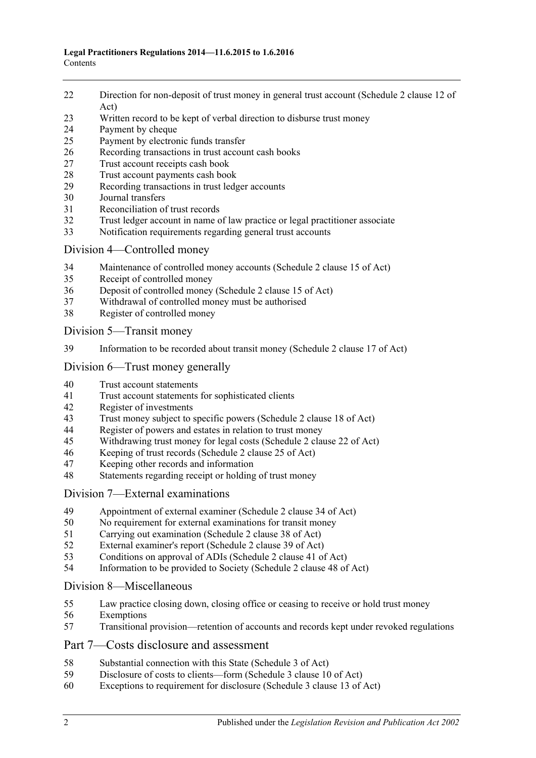- [Direction for non-deposit of trust money in general trust account \(Schedule](#page-10-1) 2 clause 12 of [Act\)](#page-10-1)
- [Written record to be kept of verbal direction to disburse trust money](#page-10-2)
- [Payment by cheque](#page-10-3)
- [Payment by electronic funds transfer](#page-12-0)
- [Recording transactions in trust account cash books](#page-13-0)
- [Trust account receipts cash book](#page-13-1)
- [Trust account payments cash book](#page-14-0)
- [Recording transactions in trust ledger accounts](#page-15-0)
- [Journal transfers](#page-16-0)
- [Reconciliation of trust records](#page-17-0)
- [Trust ledger account in name of law practice or legal practitioner associate](#page-17-1)
- [Notification requirements regarding general trust accounts](#page-18-0)

#### Division [4—Controlled money](#page-19-0)

- [Maintenance of controlled money accounts \(Schedule](#page-19-1) 2 clause 15 of Act)
- [Receipt of controlled money](#page-19-2)
- [Deposit of controlled money \(Schedule](#page-20-0) 2 clause 15 of Act)
- [Withdrawal of controlled money must be authorised](#page-20-1)
- [Register of controlled money](#page-21-0)

Division [5—Transit money](#page-22-0)

[Information to be recorded about transit money \(Schedule](#page-22-1) 2 clause 17 of Act)

## Division [6—Trust money generally](#page-22-2)

- [Trust account statements](#page-22-3)
- [Trust account statements for sophisticated clients](#page-23-0)
- [Register of investments](#page-23-1)<br>43 Trust money subject to s
- [Trust money subject to specific powers \(Schedule 2 clause 18 of Act\)](#page-24-0)
- [Register of powers and estates in relation to trust money](#page-24-1)<br>45 Withdrawing trust money for legal costs (Schedule 2 clar
- [Withdrawing trust money for legal costs \(Schedule](#page-25-0) 2 clause 22 of Act)
- [Keeping of trust records \(Schedule](#page-26-0) 2 clause 25 of Act)
- [Keeping other records and information](#page-26-1)
- [Statements regarding receipt or holding of trust money](#page-26-2)

#### Division [7—External examinations](#page-27-0)

- [Appointment of external examiner \(Schedule](#page-27-1) 2 clause 34 of Act)
- [No requirement for external examinations for transit money](#page-27-2)
- [Carrying out examination \(Schedule](#page-28-0) 2 clause 38 of Act)
- [External examiner's report \(Schedule](#page-28-1) 2 clause 39 of Act)
- [Conditions on approval of ADIs \(Schedule](#page-29-0) 2 clause 41 of Act)
- [Information to be provided to Society \(Schedule](#page-30-0) 2 clause 48 of Act)

#### Division [8—Miscellaneous](#page-30-1)

- [Law practice closing down, closing office or ceasing to receive or hold trust money](#page-30-2)
- [Exemptions](#page-31-0)
- [Transitional provision—retention of accounts and records kept under revoked regulations](#page-31-1)

#### Part [7—Costs disclosure and assessment](#page-31-2)

- [Substantial connection with this State \(Schedule](#page-31-3) 3 of Act)
- [Disclosure of costs to clients—form \(Schedule](#page-32-0) 3 clause 10 of Act)
- [Exceptions to requirement for disclosure \(Schedule](#page-32-1) 3 clause 13 of Act)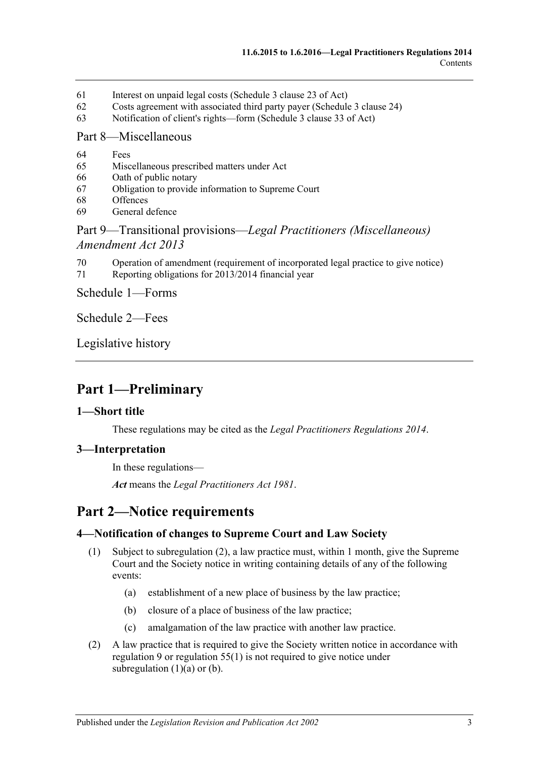- 61 [Interest on unpaid legal costs \(Schedule](#page-32-2) 3 clause 23 of Act)
- 62 [Costs agreement with associated third party payer \(Schedule](#page-32-3) 3 clause 24)
- 63 [Notification of client's rights—form \(Schedule](#page-32-4) 3 clause 33 of Act)

#### Part [8—Miscellaneous](#page-32-5)

- 64 [Fees](#page-32-6)
- 65 [Miscellaneous prescribed matters under Act](#page-33-0)
- 66 [Oath of public notary](#page-33-1)
- 67 [Obligation to provide information to Supreme Court](#page-33-2)
- 68 [Offences](#page-34-0)
- 69 [General defence](#page-34-1)

## Part 9—Transitional provisions—*[Legal Practitioners \(Miscellaneous\)](#page-34-2)  [Amendment Act](#page-34-2) 2013*

- 70 [Operation of amendment \(requirement of incorporated legal practice to give notice\)](#page-34-3)
- 71 [Reporting obligations for 2013/2014 financial year](#page-34-4)

Schedule [1—Forms](#page-35-0)

[Schedule](#page-36-0) 2—Fees

[Legislative history](#page-37-0)

# <span id="page-2-0"></span>**Part 1—Preliminary**

#### <span id="page-2-1"></span>**1—Short title**

These regulations may be cited as the *Legal Practitioners Regulations 2014*.

#### <span id="page-2-2"></span>**3—Interpretation**

In these regulations—

*Act* means the *[Legal Practitioners Act](http://www.legislation.sa.gov.au/index.aspx?action=legref&type=act&legtitle=Legal%20Practitioners%20Act%201981) 1981*.

# <span id="page-2-3"></span>**Part 2—Notice requirements**

#### <span id="page-2-8"></span><span id="page-2-4"></span>**4—Notification of changes to Supreme Court and Law Society**

- <span id="page-2-6"></span>(1) Subject to [subregulation](#page-2-5) (2), a law practice must, within 1 month, give the Supreme Court and the Society notice in writing containing details of any of the following events:
	- (a) establishment of a new place of business by the law practice;
	- (b) closure of a place of business of the law practice;
	- (c) amalgamation of the law practice with another law practice.
- <span id="page-2-7"></span><span id="page-2-5"></span>(2) A law practice that is required to give the Society written notice in accordance with [regulation](#page-4-6) 9 or [regulation](#page-30-3) 55(1) is not required to give notice under [subregulation](#page-2-6)  $(1)(a)$  or  $(b)$ .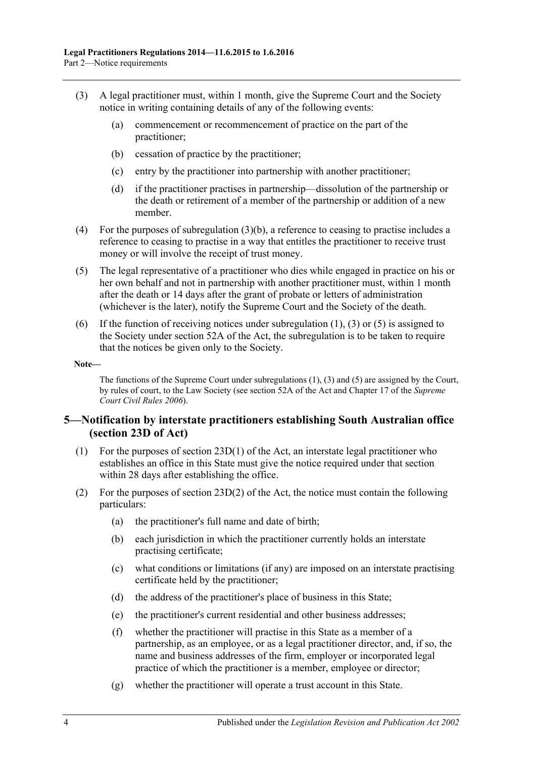- <span id="page-3-2"></span><span id="page-3-1"></span>(3) A legal practitioner must, within 1 month, give the Supreme Court and the Society notice in writing containing details of any of the following events:
	- (a) commencement or recommencement of practice on the part of the practitioner;
	- (b) cessation of practice by the practitioner;
	- (c) entry by the practitioner into partnership with another practitioner;
	- (d) if the practitioner practises in partnership—dissolution of the partnership or the death or retirement of a member of the partnership or addition of a new member.
- (4) For the purposes of [subregulation](#page-3-1) (3)(b), a reference to ceasing to practise includes a reference to ceasing to practise in a way that entitles the practitioner to receive trust money or will involve the receipt of trust money.
- <span id="page-3-3"></span>(5) The legal representative of a practitioner who dies while engaged in practice on his or her own behalf and not in partnership with another practitioner must, within 1 month after the death or 14 days after the grant of probate or letters of administration (whichever is the later), notify the Supreme Court and the Society of the death.
- (6) If the function of receiving notices under [subregulation](#page-2-8)  $(1)$ ,  $(3)$  or  $(5)$  is assigned to the Society under section 52A of the Act, the subregulation is to be taken to require that the notices be given only to the Society.

#### **Note—**

The functions of the Supreme Court unde[r subregulations](#page-2-8) (1), [\(3\)](#page-3-2) and [\(5\)](#page-3-3) are assigned by the Court, by rules of court, to the Law Society (see section 52A of the Act and Chapter 17 of the *Supreme Court Civil Rules 2006*).

#### <span id="page-3-0"></span>**5—Notification by interstate practitioners establishing South Australian office (section 23D of Act)**

- (1) For the purposes of section 23D(1) of the Act, an interstate legal practitioner who establishes an office in this State must give the notice required under that section within 28 days after establishing the office.
- (2) For the purposes of section  $23D(2)$  of the Act, the notice must contain the following particulars:
	- (a) the practitioner's full name and date of birth;
	- (b) each jurisdiction in which the practitioner currently holds an interstate practising certificate;
	- (c) what conditions or limitations (if any) are imposed on an interstate practising certificate held by the practitioner;
	- (d) the address of the practitioner's place of business in this State;
	- (e) the practitioner's current residential and other business addresses;
	- (f) whether the practitioner will practise in this State as a member of a partnership, as an employee, or as a legal practitioner director, and, if so, the name and business addresses of the firm, employer or incorporated legal practice of which the practitioner is a member, employee or director;
	- (g) whether the practitioner will operate a trust account in this State.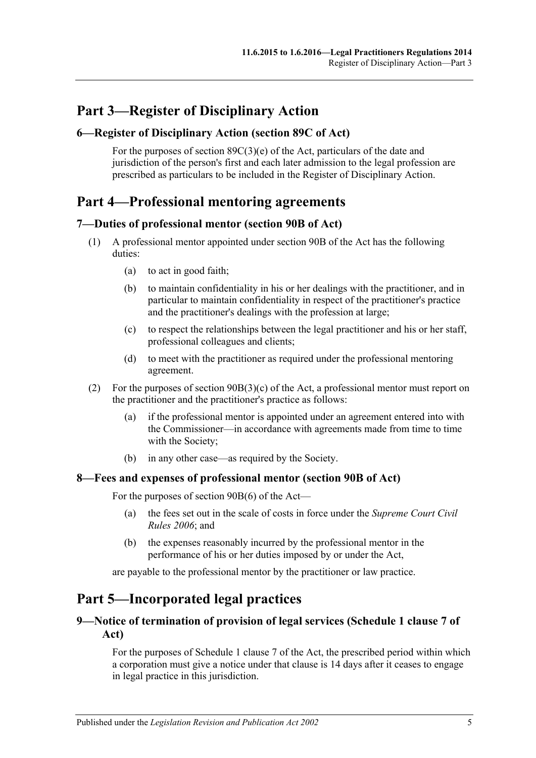# <span id="page-4-0"></span>**Part 3—Register of Disciplinary Action**

#### <span id="page-4-1"></span>**6—Register of Disciplinary Action (section 89C of Act)**

For the purposes of section  $89C(3)(e)$  of the Act, particulars of the date and jurisdiction of the person's first and each later admission to the legal profession are prescribed as particulars to be included in the Register of Disciplinary Action.

# <span id="page-4-2"></span>**Part 4—Professional mentoring agreements**

#### <span id="page-4-3"></span>**7—Duties of professional mentor (section 90B of Act)**

- (1) A professional mentor appointed under section 90B of the Act has the following duties:
	- (a) to act in good faith;
	- (b) to maintain confidentiality in his or her dealings with the practitioner, and in particular to maintain confidentiality in respect of the practitioner's practice and the practitioner's dealings with the profession at large;
	- (c) to respect the relationships between the legal practitioner and his or her staff, professional colleagues and clients;
	- (d) to meet with the practitioner as required under the professional mentoring agreement.
- (2) For the purposes of section 90B(3)(c) of the Act, a professional mentor must report on the practitioner and the practitioner's practice as follows:
	- (a) if the professional mentor is appointed under an agreement entered into with the Commissioner—in accordance with agreements made from time to time with the Society;
	- (b) in any other case—as required by the Society.

#### <span id="page-4-4"></span>**8—Fees and expenses of professional mentor (section 90B of Act)**

For the purposes of section 90B(6) of the Act—

- (a) the fees set out in the scale of costs in force under the *Supreme Court Civil Rules 2006*; and
- (b) the expenses reasonably incurred by the professional mentor in the performance of his or her duties imposed by or under the Act,

are payable to the professional mentor by the practitioner or law practice.

# <span id="page-4-5"></span>**Part 5—Incorporated legal practices**

#### <span id="page-4-6"></span>**9—Notice of termination of provision of legal services (Schedule 1 clause 7 of Act)**

For the purposes of Schedule 1 clause 7 of the Act, the prescribed period within which a corporation must give a notice under that clause is 14 days after it ceases to engage in legal practice in this jurisdiction.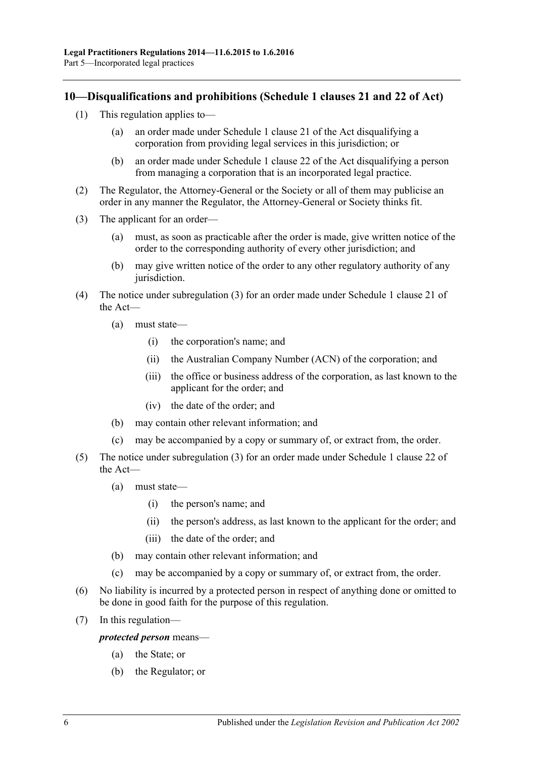### <span id="page-5-0"></span>**10—Disqualifications and prohibitions (Schedule 1 clauses 21 and 22 of Act)**

- (1) This regulation applies to—
	- (a) an order made under Schedule 1 clause 21 of the Act disqualifying a corporation from providing legal services in this jurisdiction; or
	- (b) an order made under Schedule 1 clause 22 of the Act disqualifying a person from managing a corporation that is an incorporated legal practice.
- (2) The Regulator, the Attorney-General or the Society or all of them may publicise an order in any manner the Regulator, the Attorney-General or Society thinks fit.
- <span id="page-5-1"></span>(3) The applicant for an order—
	- (a) must, as soon as practicable after the order is made, give written notice of the order to the corresponding authority of every other jurisdiction; and
	- (b) may give written notice of the order to any other regulatory authority of any jurisdiction.
- (4) The notice under [subregulation](#page-5-1) (3) for an order made under Schedule 1 clause 21 of the Act—
	- (a) must state—
		- (i) the corporation's name; and
		- (ii) the Australian Company Number (ACN) of the corporation; and
		- (iii) the office or business address of the corporation, as last known to the applicant for the order; and
		- (iv) the date of the order; and
	- (b) may contain other relevant information; and
	- (c) may be accompanied by a copy or summary of, or extract from, the order.
- (5) The notice under [subregulation](#page-5-1) (3) for an order made under Schedule 1 clause 22 of the Act—
	- (a) must state—
		- (i) the person's name; and
		- (ii) the person's address, as last known to the applicant for the order; and
		- (iii) the date of the order; and
	- (b) may contain other relevant information; and
	- (c) may be accompanied by a copy or summary of, or extract from, the order.
- (6) No liability is incurred by a protected person in respect of anything done or omitted to be done in good faith for the purpose of this regulation.
- (7) In this regulation—

*protected person* means—

- (a) the State; or
- (b) the Regulator; or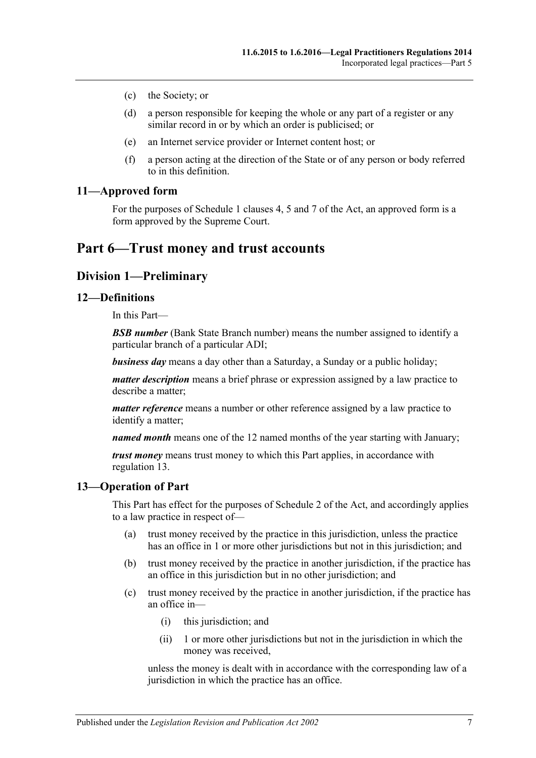- (c) the Society; or
- (d) a person responsible for keeping the whole or any part of a register or any similar record in or by which an order is publicised; or
- (e) an Internet service provider or Internet content host; or
- (f) a person acting at the direction of the State or of any person or body referred to in this definition.

#### <span id="page-6-0"></span>**11—Approved form**

For the purposes of Schedule 1 clauses 4, 5 and 7 of the Act, an approved form is a form approved by the Supreme Court.

# <span id="page-6-2"></span><span id="page-6-1"></span>**Part 6—Trust money and trust accounts**

## **Division 1—Preliminary**

#### <span id="page-6-3"></span>**12—Definitions**

In this Part—

*BSB number* (Bank State Branch number) means the number assigned to identify a particular branch of a particular ADI;

*business day* means a day other than a Saturday, a Sunday or a public holiday;

*matter description* means a brief phrase or expression assigned by a law practice to describe a matter;

*matter reference* means a number or other reference assigned by a law practice to identify a matter;

*named month* means one of the 12 named months of the year starting with January;

*trust money* means trust money to which this Part applies, in accordance with [regulation](#page-6-4) 13.

#### <span id="page-6-4"></span>**13—Operation of Part**

This Part has effect for the purposes of Schedule 2 of the Act, and accordingly applies to a law practice in respect of—

- (a) trust money received by the practice in this jurisdiction, unless the practice has an office in 1 or more other jurisdictions but not in this jurisdiction; and
- (b) trust money received by the practice in another jurisdiction, if the practice has an office in this jurisdiction but in no other jurisdiction; and
- (c) trust money received by the practice in another jurisdiction, if the practice has an office in—
	- (i) this jurisdiction; and
	- (ii) 1 or more other jurisdictions but not in the jurisdiction in which the money was received,

unless the money is dealt with in accordance with the corresponding law of a jurisdiction in which the practice has an office.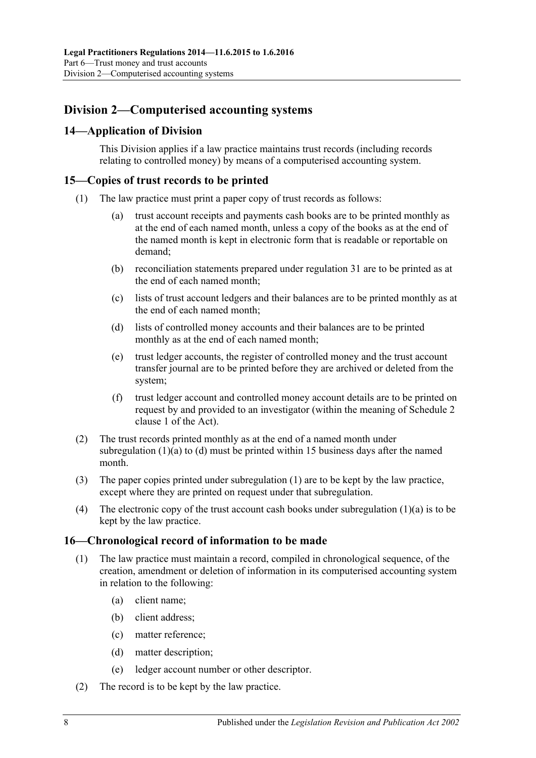## <span id="page-7-0"></span>**Division 2—Computerised accounting systems**

## <span id="page-7-1"></span>**14—Application of Division**

This Division applies if a law practice maintains trust records (including records relating to controlled money) by means of a computerised accounting system.

#### <span id="page-7-6"></span><span id="page-7-2"></span>**15—Copies of trust records to be printed**

- <span id="page-7-4"></span>(1) The law practice must print a paper copy of trust records as follows:
	- (a) trust account receipts and payments cash books are to be printed monthly as at the end of each named month, unless a copy of the books as at the end of the named month is kept in electronic form that is readable or reportable on demand;
	- (b) reconciliation statements prepared under [regulation](#page-17-0) 31 are to be printed as at the end of each named month;
	- (c) lists of trust account ledgers and their balances are to be printed monthly as at the end of each named month;
	- (d) lists of controlled money accounts and their balances are to be printed monthly as at the end of each named month;
	- (e) trust ledger accounts, the register of controlled money and the trust account transfer journal are to be printed before they are archived or deleted from the system;
	- (f) trust ledger account and controlled money account details are to be printed on request by and provided to an investigator (within the meaning of Schedule 2 clause 1 of the Act).
- <span id="page-7-5"></span>(2) The trust records printed monthly as at the end of a named month under [subregulation](#page-7-4)  $(1)(a)$  to  $(d)$  must be printed within 15 business days after the named month.
- (3) The paper copies printed under [subregulation](#page-7-6) (1) are to be kept by the law practice, except where they are printed on request under that subregulation.
- (4) The electronic copy of the trust account cash books under [subregulation](#page-7-4) (1)(a) is to be kept by the law practice.

#### <span id="page-7-3"></span>**16—Chronological record of information to be made**

- (1) The law practice must maintain a record, compiled in chronological sequence, of the creation, amendment or deletion of information in its computerised accounting system in relation to the following:
	- (a) client name;
	- (b) client address;
	- (c) matter reference;
	- (d) matter description;
	- (e) ledger account number or other descriptor.
- (2) The record is to be kept by the law practice.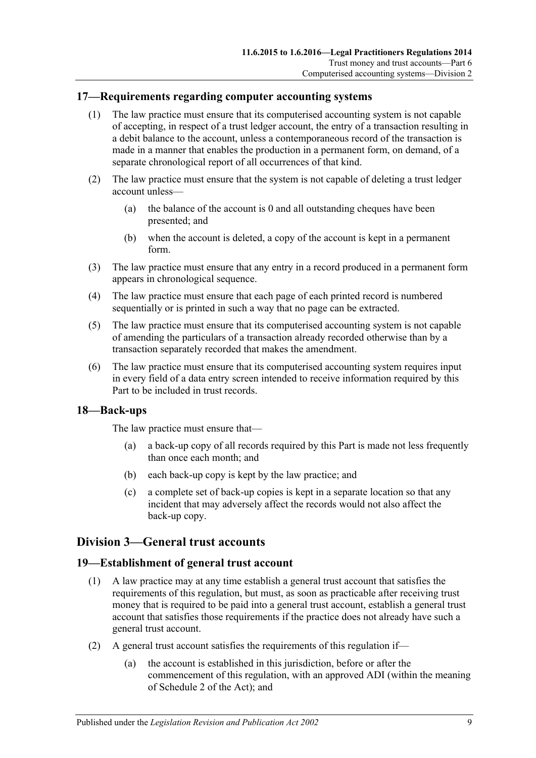#### <span id="page-8-0"></span>**17—Requirements regarding computer accounting systems**

- (1) The law practice must ensure that its computerised accounting system is not capable of accepting, in respect of a trust ledger account, the entry of a transaction resulting in a debit balance to the account, unless a contemporaneous record of the transaction is made in a manner that enables the production in a permanent form, on demand, of a separate chronological report of all occurrences of that kind.
- (2) The law practice must ensure that the system is not capable of deleting a trust ledger account unless—
	- (a) the balance of the account is 0 and all outstanding cheques have been presented; and
	- (b) when the account is deleted, a copy of the account is kept in a permanent form.
- (3) The law practice must ensure that any entry in a record produced in a permanent form appears in chronological sequence.
- (4) The law practice must ensure that each page of each printed record is numbered sequentially or is printed in such a way that no page can be extracted.
- (5) The law practice must ensure that its computerised accounting system is not capable of amending the particulars of a transaction already recorded otherwise than by a transaction separately recorded that makes the amendment.
- (6) The law practice must ensure that its computerised accounting system requires input in every field of a data entry screen intended to receive information required by this Part to be included in trust records.

#### <span id="page-8-1"></span>**18—Back-ups**

The law practice must ensure that—

- (a) a back-up copy of all records required by this Part is made not less frequently than once each month; and
- (b) each back-up copy is kept by the law practice; and
- (c) a complete set of back-up copies is kept in a separate location so that any incident that may adversely affect the records would not also affect the back-up copy.

#### <span id="page-8-2"></span>**Division 3—General trust accounts**

#### <span id="page-8-3"></span>**19—Establishment of general trust account**

- (1) A law practice may at any time establish a general trust account that satisfies the requirements of this regulation, but must, as soon as practicable after receiving trust money that is required to be paid into a general trust account, establish a general trust account that satisfies those requirements if the practice does not already have such a general trust account.
- (2) A general trust account satisfies the requirements of this regulation if—
	- (a) the account is established in this jurisdiction, before or after the commencement of this regulation, with an approved ADI (within the meaning of Schedule 2 of the Act); and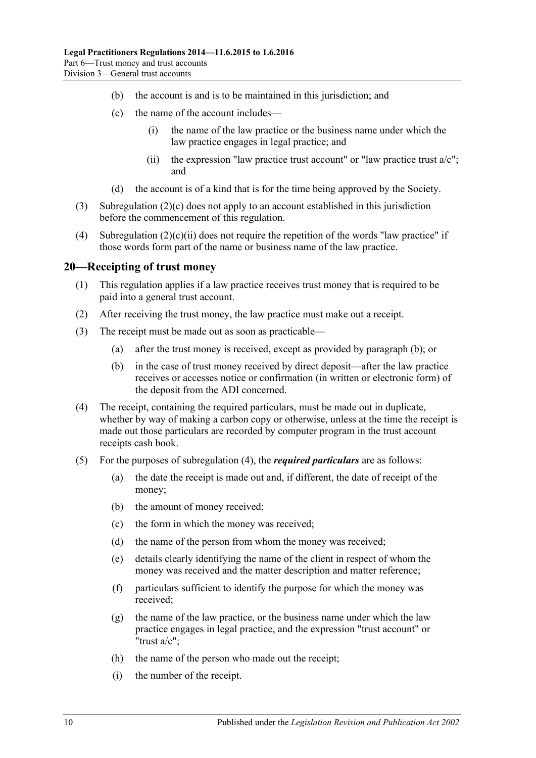- (b) the account is and is to be maintained in this jurisdiction; and
- <span id="page-9-1"></span>(c) the name of the account includes—
	- (i) the name of the law practice or the business name under which the law practice engages in legal practice; and
	- (ii) the expression "law practice trust account" or "law practice trust  $a/c$ "; and
- (d) the account is of a kind that is for the time being approved by the Society.
- <span id="page-9-2"></span>(3) [Subregulation](#page-9-1) (2)(c) does not apply to an account established in this jurisdiction before the commencement of this regulation.
- (4) [Subregulation](#page-9-2)  $(2)(c)(ii)$  does not require the repetition of the words "law practice" if those words form part of the name or business name of the law practice.

#### <span id="page-9-0"></span>**20—Receipting of trust money**

- (1) This regulation applies if a law practice receives trust money that is required to be paid into a general trust account.
- (2) After receiving the trust money, the law practice must make out a receipt.
- <span id="page-9-3"></span>(3) The receipt must be made out as soon as practicable—
	- (a) after the trust money is received, except as provided by [paragraph](#page-9-3) (b); or
	- (b) in the case of trust money received by direct deposit—after the law practice receives or accesses notice or confirmation (in written or electronic form) of the deposit from the ADI concerned.
- <span id="page-9-4"></span>(4) The receipt, containing the required particulars, must be made out in duplicate, whether by way of making a carbon copy or otherwise, unless at the time the receipt is made out those particulars are recorded by computer program in the trust account receipts cash book.
- (5) For the purposes of [subregulation](#page-9-4) (4), the *required particulars* are as follows:
	- (a) the date the receipt is made out and, if different, the date of receipt of the money;
	- (b) the amount of money received;
	- (c) the form in which the money was received;
	- (d) the name of the person from whom the money was received;
	- (e) details clearly identifying the name of the client in respect of whom the money was received and the matter description and matter reference;
	- (f) particulars sufficient to identify the purpose for which the money was received;
	- $(g)$  the name of the law practice, or the business name under which the law practice engages in legal practice, and the expression "trust account" or "trust a/c";
	- (h) the name of the person who made out the receipt;
	- (i) the number of the receipt.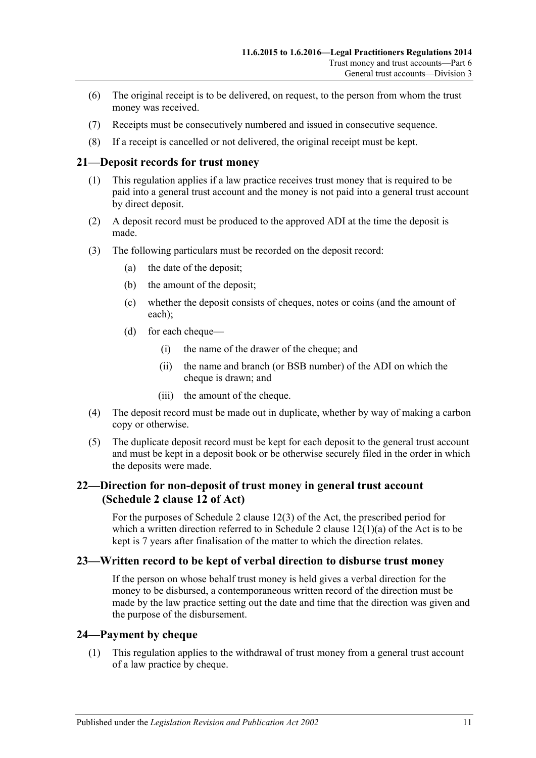- (6) The original receipt is to be delivered, on request, to the person from whom the trust money was received.
- (7) Receipts must be consecutively numbered and issued in consecutive sequence.
- (8) If a receipt is cancelled or not delivered, the original receipt must be kept.

#### <span id="page-10-0"></span>**21—Deposit records for trust money**

- (1) This regulation applies if a law practice receives trust money that is required to be paid into a general trust account and the money is not paid into a general trust account by direct deposit.
- (2) A deposit record must be produced to the approved ADI at the time the deposit is made.
- (3) The following particulars must be recorded on the deposit record:
	- (a) the date of the deposit;
	- (b) the amount of the deposit;
	- (c) whether the deposit consists of cheques, notes or coins (and the amount of each);
	- (d) for each cheque—
		- (i) the name of the drawer of the cheque; and
		- (ii) the name and branch (or BSB number) of the ADI on which the cheque is drawn; and
		- (iii) the amount of the cheque.
- (4) The deposit record must be made out in duplicate, whether by way of making a carbon copy or otherwise.
- (5) The duplicate deposit record must be kept for each deposit to the general trust account and must be kept in a deposit book or be otherwise securely filed in the order in which the deposits were made.

#### <span id="page-10-1"></span>**22—Direction for non-deposit of trust money in general trust account (Schedule 2 clause 12 of Act)**

For the purposes of Schedule 2 clause 12(3) of the Act, the prescribed period for which a written direction referred to in Schedule 2 clause  $12(1)(a)$  of the Act is to be kept is 7 years after finalisation of the matter to which the direction relates.

#### <span id="page-10-2"></span>**23—Written record to be kept of verbal direction to disburse trust money**

If the person on whose behalf trust money is held gives a verbal direction for the money to be disbursed, a contemporaneous written record of the direction must be made by the law practice setting out the date and time that the direction was given and the purpose of the disbursement.

#### <span id="page-10-3"></span>**24—Payment by cheque**

(1) This regulation applies to the withdrawal of trust money from a general trust account of a law practice by cheque.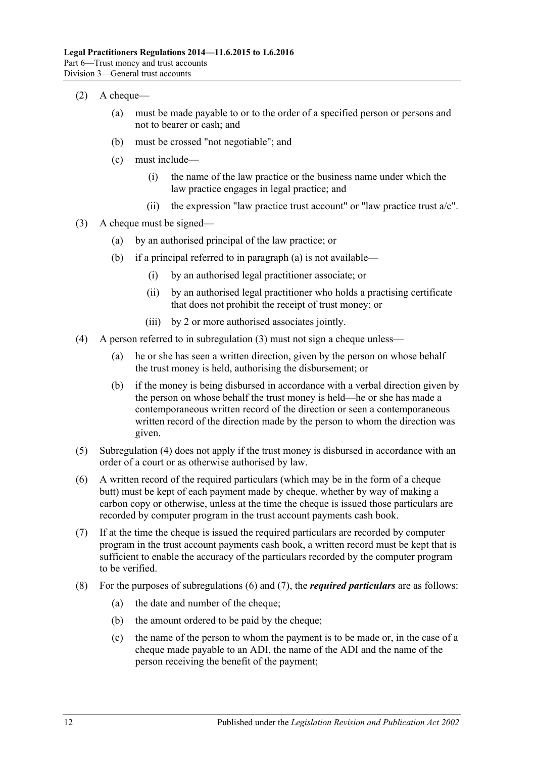- <span id="page-11-5"></span> $(2)$  A cheque—
	- (a) must be made payable to or to the order of a specified person or persons and not to bearer or cash; and
	- (b) must be crossed "not negotiable"; and
	- (c) must include—
		- (i) the name of the law practice or the business name under which the law practice engages in legal practice; and
		- (ii) the expression "law practice trust account" or "law practice trust  $a/c$ ".
- <span id="page-11-6"></span><span id="page-11-1"></span><span id="page-11-0"></span>(3) A cheque must be signed—
	- (a) by an authorised principal of the law practice; or
	- (b) if a principal referred to in [paragraph](#page-11-0) (a) is not available—
		- (i) by an authorised legal practitioner associate; or
		- (ii) by an authorised legal practitioner who holds a practising certificate that does not prohibit the receipt of trust money; or
		- (iii) by 2 or more authorised associates jointly.
- <span id="page-11-2"></span>(4) A person referred to in [subregulation](#page-11-1) (3) must not sign a cheque unless—
	- (a) he or she has seen a written direction, given by the person on whose behalf the trust money is held, authorising the disbursement; or
	- (b) if the money is being disbursed in accordance with a verbal direction given by the person on whose behalf the trust money is held—he or she has made a contemporaneous written record of the direction or seen a contemporaneous written record of the direction made by the person to whom the direction was given.
- (5) [Subregulation](#page-11-2) (4) does not apply if the trust money is disbursed in accordance with an order of a court or as otherwise authorised by law.
- <span id="page-11-3"></span>(6) A written record of the required particulars (which may be in the form of a cheque butt) must be kept of each payment made by cheque, whether by way of making a carbon copy or otherwise, unless at the time the cheque is issued those particulars are recorded by computer program in the trust account payments cash book.
- <span id="page-11-4"></span>(7) If at the time the cheque is issued the required particulars are recorded by computer program in the trust account payments cash book, a written record must be kept that is sufficient to enable the accuracy of the particulars recorded by the computer program to be verified.
- (8) For the purposes of [subregulations](#page-11-3) (6) and [\(7\),](#page-11-4) the *required particulars* are as follows:
	- (a) the date and number of the cheque;
	- (b) the amount ordered to be paid by the cheque;
	- (c) the name of the person to whom the payment is to be made or, in the case of a cheque made payable to an ADI, the name of the ADI and the name of the person receiving the benefit of the payment;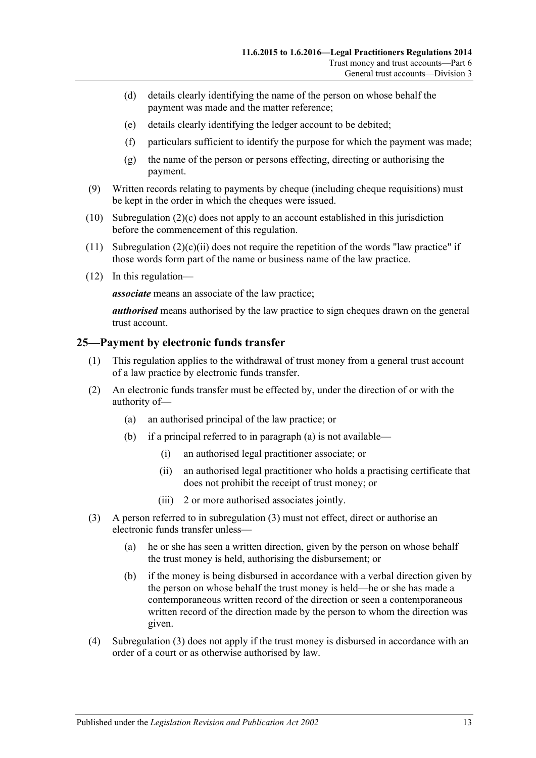- (d) details clearly identifying the name of the person on whose behalf the payment was made and the matter reference;
- (e) details clearly identifying the ledger account to be debited;
- (f) particulars sufficient to identify the purpose for which the payment was made;
- (g) the name of the person or persons effecting, directing or authorising the payment.
- (9) Written records relating to payments by cheque (including cheque requisitions) must be kept in the order in which the cheques were issued.
- (10) [Subregulation](#page-11-5) (2)(c) does not apply to an account established in this jurisdiction before the commencement of this regulation.
- (11) [Subregulation](#page-11-6)  $(2)(c)(ii)$  does not require the repetition of the words "law practice" if those words form part of the name or business name of the law practice.
- (12) In this regulation—

*associate* means an associate of the law practice;

*authorised* means authorised by the law practice to sign cheques drawn on the general trust account.

#### <span id="page-12-0"></span>**25—Payment by electronic funds transfer**

- (1) This regulation applies to the withdrawal of trust money from a general trust account of a law practice by electronic funds transfer.
- <span id="page-12-1"></span>(2) An electronic funds transfer must be effected by, under the direction of or with the authority of—
	- (a) an authorised principal of the law practice; or
	- (b) if a principal referred to in [paragraph](#page-12-1) (a) is not available—
		- (i) an authorised legal practitioner associate; or
		- (ii) an authorised legal practitioner who holds a practising certificate that does not prohibit the receipt of trust money; or
		- (iii) 2 or more authorised associates jointly.
- <span id="page-12-2"></span>(3) A person referred to in [subregulation](#page-11-1) (3) must not effect, direct or authorise an electronic funds transfer unless—
	- (a) he or she has seen a written direction, given by the person on whose behalf the trust money is held, authorising the disbursement; or
	- (b) if the money is being disbursed in accordance with a verbal direction given by the person on whose behalf the trust money is held—he or she has made a contemporaneous written record of the direction or seen a contemporaneous written record of the direction made by the person to whom the direction was given.
- (4) [Subregulation](#page-12-2) (3) does not apply if the trust money is disbursed in accordance with an order of a court or as otherwise authorised by law.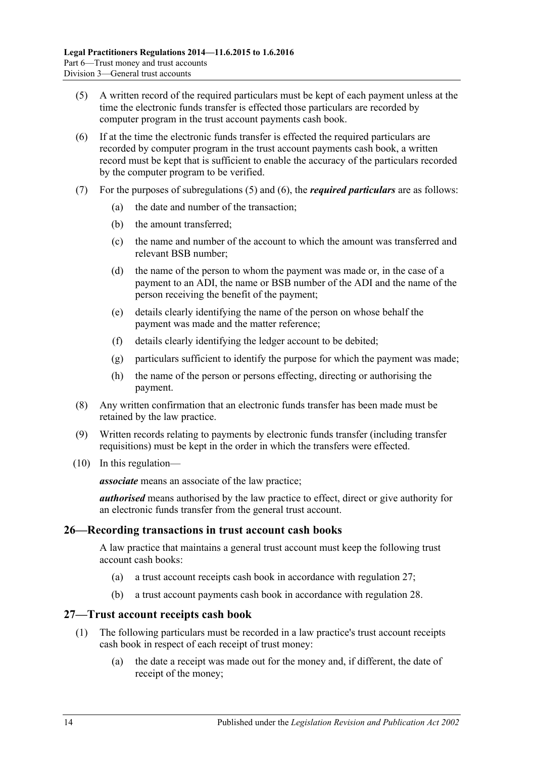- <span id="page-13-2"></span>(5) A written record of the required particulars must be kept of each payment unless at the time the electronic funds transfer is effected those particulars are recorded by computer program in the trust account payments cash book.
- <span id="page-13-3"></span>(6) If at the time the electronic funds transfer is effected the required particulars are recorded by computer program in the trust account payments cash book, a written record must be kept that is sufficient to enable the accuracy of the particulars recorded by the computer program to be verified.
- (7) For the purposes of [subregulations](#page-13-2) (5) and [\(6\),](#page-13-3) the *required particulars* are as follows:
	- (a) the date and number of the transaction;
	- (b) the amount transferred;
	- (c) the name and number of the account to which the amount was transferred and relevant BSB number;
	- (d) the name of the person to whom the payment was made or, in the case of a payment to an ADI, the name or BSB number of the ADI and the name of the person receiving the benefit of the payment;
	- (e) details clearly identifying the name of the person on whose behalf the payment was made and the matter reference;
	- (f) details clearly identifying the ledger account to be debited;
	- (g) particulars sufficient to identify the purpose for which the payment was made;
	- (h) the name of the person or persons effecting, directing or authorising the payment.
- (8) Any written confirmation that an electronic funds transfer has been made must be retained by the law practice.
- (9) Written records relating to payments by electronic funds transfer (including transfer requisitions) must be kept in the order in which the transfers were effected.
- (10) In this regulation—

*associate* means an associate of the law practice;

*authorised* means authorised by the law practice to effect, direct or give authority for an electronic funds transfer from the general trust account.

#### <span id="page-13-0"></span>**26—Recording transactions in trust account cash books**

A law practice that maintains a general trust account must keep the following trust account cash books:

- (a) a trust account receipts cash book in accordance with [regulation](#page-13-1) 27;
- (b) a trust account payments cash book in accordance with [regulation](#page-14-0) 28.

#### <span id="page-13-1"></span>**27—Trust account receipts cash book**

- (1) The following particulars must be recorded in a law practice's trust account receipts cash book in respect of each receipt of trust money:
	- (a) the date a receipt was made out for the money and, if different, the date of receipt of the money;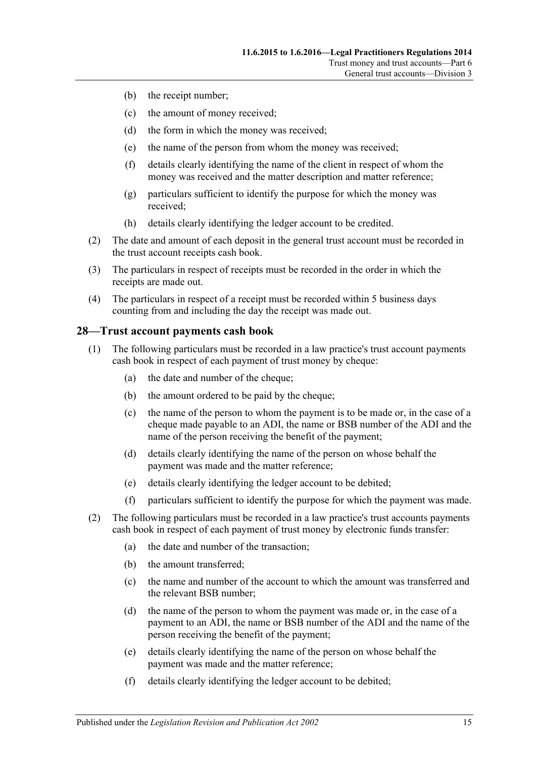- (b) the receipt number;
- (c) the amount of money received;
- (d) the form in which the money was received;
- (e) the name of the person from whom the money was received;
- (f) details clearly identifying the name of the client in respect of whom the money was received and the matter description and matter reference;
- (g) particulars sufficient to identify the purpose for which the money was received;
- (h) details clearly identifying the ledger account to be credited.
- (2) The date and amount of each deposit in the general trust account must be recorded in the trust account receipts cash book.
- (3) The particulars in respect of receipts must be recorded in the order in which the receipts are made out.
- (4) The particulars in respect of a receipt must be recorded within 5 business days counting from and including the day the receipt was made out.

#### <span id="page-14-0"></span>**28—Trust account payments cash book**

- (1) The following particulars must be recorded in a law practice's trust account payments cash book in respect of each payment of trust money by cheque:
	- (a) the date and number of the cheque;
	- (b) the amount ordered to be paid by the cheque;
	- (c) the name of the person to whom the payment is to be made or, in the case of a cheque made payable to an ADI, the name or BSB number of the ADI and the name of the person receiving the benefit of the payment;
	- (d) details clearly identifying the name of the person on whose behalf the payment was made and the matter reference;
	- (e) details clearly identifying the ledger account to be debited;
	- (f) particulars sufficient to identify the purpose for which the payment was made.
- (2) The following particulars must be recorded in a law practice's trust accounts payments cash book in respect of each payment of trust money by electronic funds transfer:
	- (a) the date and number of the transaction;
	- (b) the amount transferred;
	- (c) the name and number of the account to which the amount was transferred and the relevant BSB number;
	- (d) the name of the person to whom the payment was made or, in the case of a payment to an ADI, the name or BSB number of the ADI and the name of the person receiving the benefit of the payment;
	- (e) details clearly identifying the name of the person on whose behalf the payment was made and the matter reference;
	- (f) details clearly identifying the ledger account to be debited;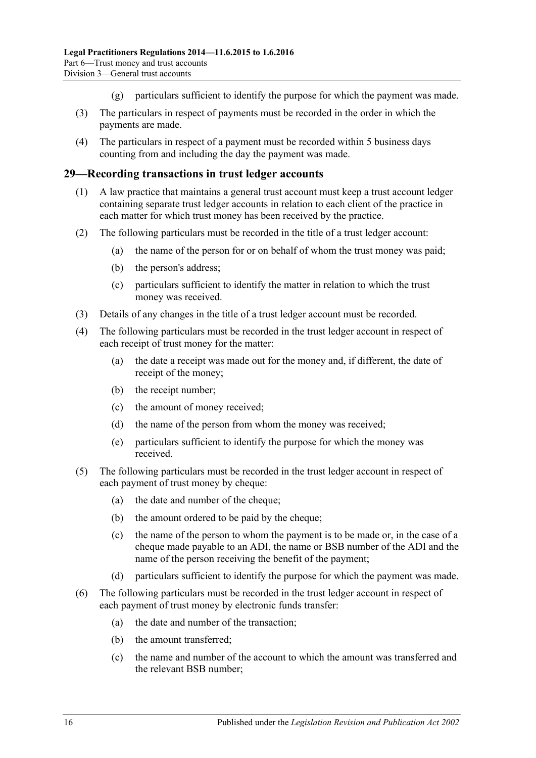- (g) particulars sufficient to identify the purpose for which the payment was made.
- (3) The particulars in respect of payments must be recorded in the order in which the payments are made.
- (4) The particulars in respect of a payment must be recorded within 5 business days counting from and including the day the payment was made.

#### <span id="page-15-0"></span>**29—Recording transactions in trust ledger accounts**

- (1) A law practice that maintains a general trust account must keep a trust account ledger containing separate trust ledger accounts in relation to each client of the practice in each matter for which trust money has been received by the practice.
- (2) The following particulars must be recorded in the title of a trust ledger account:
	- (a) the name of the person for or on behalf of whom the trust money was paid;
	- (b) the person's address;
	- (c) particulars sufficient to identify the matter in relation to which the trust money was received.
- (3) Details of any changes in the title of a trust ledger account must be recorded.
- (4) The following particulars must be recorded in the trust ledger account in respect of each receipt of trust money for the matter:
	- (a) the date a receipt was made out for the money and, if different, the date of receipt of the money;
	- (b) the receipt number;
	- (c) the amount of money received;
	- (d) the name of the person from whom the money was received;
	- (e) particulars sufficient to identify the purpose for which the money was received.
- (5) The following particulars must be recorded in the trust ledger account in respect of each payment of trust money by cheque:
	- (a) the date and number of the cheque;
	- (b) the amount ordered to be paid by the cheque;
	- (c) the name of the person to whom the payment is to be made or, in the case of a cheque made payable to an ADI, the name or BSB number of the ADI and the name of the person receiving the benefit of the payment;
	- (d) particulars sufficient to identify the purpose for which the payment was made.
- (6) The following particulars must be recorded in the trust ledger account in respect of each payment of trust money by electronic funds transfer:
	- (a) the date and number of the transaction;
	- (b) the amount transferred;
	- (c) the name and number of the account to which the amount was transferred and the relevant BSB number;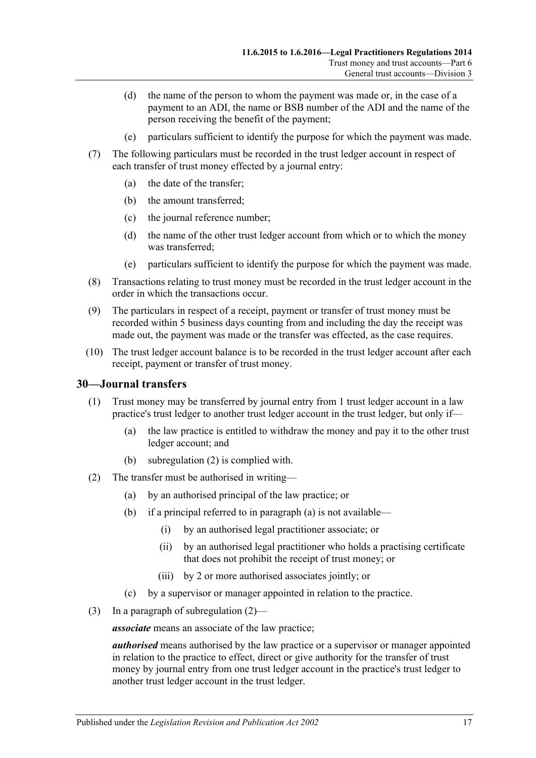- (d) the name of the person to whom the payment was made or, in the case of a payment to an ADI, the name or BSB number of the ADI and the name of the person receiving the benefit of the payment;
- (e) particulars sufficient to identify the purpose for which the payment was made.
- (7) The following particulars must be recorded in the trust ledger account in respect of each transfer of trust money effected by a journal entry:
	- (a) the date of the transfer;
	- (b) the amount transferred;
	- (c) the journal reference number;
	- (d) the name of the other trust ledger account from which or to which the money was transferred;
	- (e) particulars sufficient to identify the purpose for which the payment was made.
- (8) Transactions relating to trust money must be recorded in the trust ledger account in the order in which the transactions occur.
- (9) The particulars in respect of a receipt, payment or transfer of trust money must be recorded within 5 business days counting from and including the day the receipt was made out, the payment was made or the transfer was effected, as the case requires.
- (10) The trust ledger account balance is to be recorded in the trust ledger account after each receipt, payment or transfer of trust money.

#### <span id="page-16-0"></span>**30—Journal transfers**

- (1) Trust money may be transferred by journal entry from 1 trust ledger account in a law practice's trust ledger to another trust ledger account in the trust ledger, but only if—
	- (a) the law practice is entitled to withdraw the money and pay it to the other trust ledger account; and
	- (b) [subregulation](#page-16-1) (2) is complied with.
- <span id="page-16-2"></span><span id="page-16-1"></span>(2) The transfer must be authorised in writing—
	- (a) by an authorised principal of the law practice; or
	- (b) if a principal referred to in [paragraph](#page-16-2) (a) is not available—
		- (i) by an authorised legal practitioner associate; or
		- (ii) by an authorised legal practitioner who holds a practising certificate that does not prohibit the receipt of trust money; or
		- (iii) by 2 or more authorised associates jointly; or
	- (c) by a supervisor or manager appointed in relation to the practice.
- (3) In a paragraph of [subregulation](#page-16-1) (2)—

*associate* means an associate of the law practice;

*authorised* means authorised by the law practice or a supervisor or manager appointed in relation to the practice to effect, direct or give authority for the transfer of trust money by journal entry from one trust ledger account in the practice's trust ledger to another trust ledger account in the trust ledger.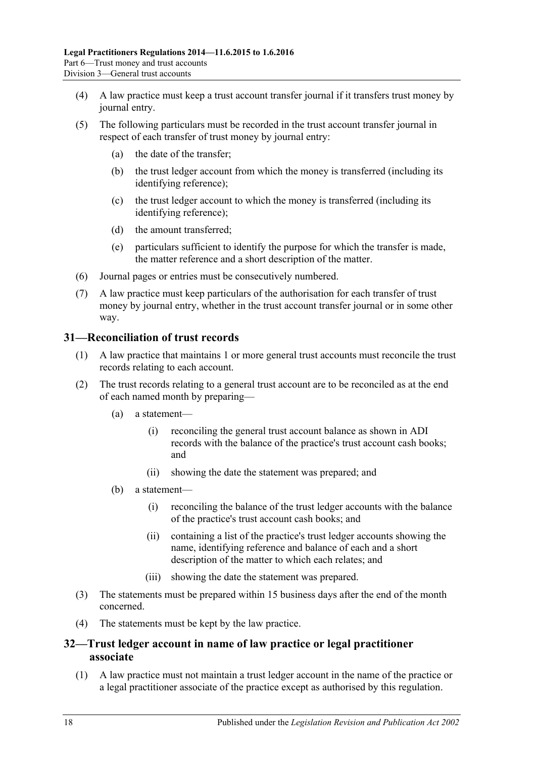- (4) A law practice must keep a trust account transfer journal if it transfers trust money by journal entry.
- (5) The following particulars must be recorded in the trust account transfer journal in respect of each transfer of trust money by journal entry:
	- (a) the date of the transfer;
	- (b) the trust ledger account from which the money is transferred (including its identifying reference);
	- (c) the trust ledger account to which the money is transferred (including its identifying reference);
	- (d) the amount transferred;
	- (e) particulars sufficient to identify the purpose for which the transfer is made, the matter reference and a short description of the matter.
- (6) Journal pages or entries must be consecutively numbered.
- (7) A law practice must keep particulars of the authorisation for each transfer of trust money by journal entry, whether in the trust account transfer journal or in some other way.

### <span id="page-17-0"></span>**31—Reconciliation of trust records**

- (1) A law practice that maintains 1 or more general trust accounts must reconcile the trust records relating to each account.
- (2) The trust records relating to a general trust account are to be reconciled as at the end of each named month by preparing—
	- (a) a statement—
		- (i) reconciling the general trust account balance as shown in ADI records with the balance of the practice's trust account cash books; and
		- (ii) showing the date the statement was prepared; and
	- (b) a statement—
		- (i) reconciling the balance of the trust ledger accounts with the balance of the practice's trust account cash books; and
		- (ii) containing a list of the practice's trust ledger accounts showing the name, identifying reference and balance of each and a short description of the matter to which each relates; and
		- (iii) showing the date the statement was prepared.
- (3) The statements must be prepared within 15 business days after the end of the month concerned.
- (4) The statements must be kept by the law practice.

## <span id="page-17-1"></span>**32—Trust ledger account in name of law practice or legal practitioner associate**

(1) A law practice must not maintain a trust ledger account in the name of the practice or a legal practitioner associate of the practice except as authorised by this regulation.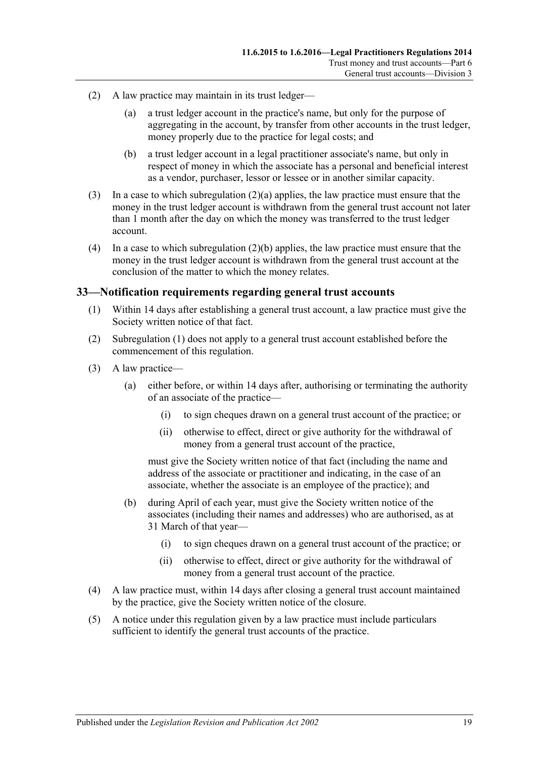- <span id="page-18-1"></span>(2) A law practice may maintain in its trust ledger—
	- (a) a trust ledger account in the practice's name, but only for the purpose of aggregating in the account, by transfer from other accounts in the trust ledger, money properly due to the practice for legal costs; and
	- (b) a trust ledger account in a legal practitioner associate's name, but only in respect of money in which the associate has a personal and beneficial interest as a vendor, purchaser, lessor or lessee or in another similar capacity.
- <span id="page-18-2"></span>(3) In a case to which [subregulation](#page-18-1) (2)(a) applies, the law practice must ensure that the money in the trust ledger account is withdrawn from the general trust account not later than 1 month after the day on which the money was transferred to the trust ledger account.
- (4) In a case to which [subregulation](#page-18-2) (2)(b) applies, the law practice must ensure that the money in the trust ledger account is withdrawn from the general trust account at the conclusion of the matter to which the money relates.

#### <span id="page-18-3"></span><span id="page-18-0"></span>**33—Notification requirements regarding general trust accounts**

- (1) Within 14 days after establishing a general trust account, a law practice must give the Society written notice of that fact.
- (2) [Subregulation](#page-18-3) (1) does not apply to a general trust account established before the commencement of this regulation.
- (3) A law practice—
	- (a) either before, or within 14 days after, authorising or terminating the authority of an associate of the practice—
		- (i) to sign cheques drawn on a general trust account of the practice; or
		- (ii) otherwise to effect, direct or give authority for the withdrawal of money from a general trust account of the practice,

must give the Society written notice of that fact (including the name and address of the associate or practitioner and indicating, in the case of an associate, whether the associate is an employee of the practice); and

- (b) during April of each year, must give the Society written notice of the associates (including their names and addresses) who are authorised, as at 31 March of that year—
	- (i) to sign cheques drawn on a general trust account of the practice; or
	- (ii) otherwise to effect, direct or give authority for the withdrawal of money from a general trust account of the practice.
- (4) A law practice must, within 14 days after closing a general trust account maintained by the practice, give the Society written notice of the closure.
- (5) A notice under this regulation given by a law practice must include particulars sufficient to identify the general trust accounts of the practice.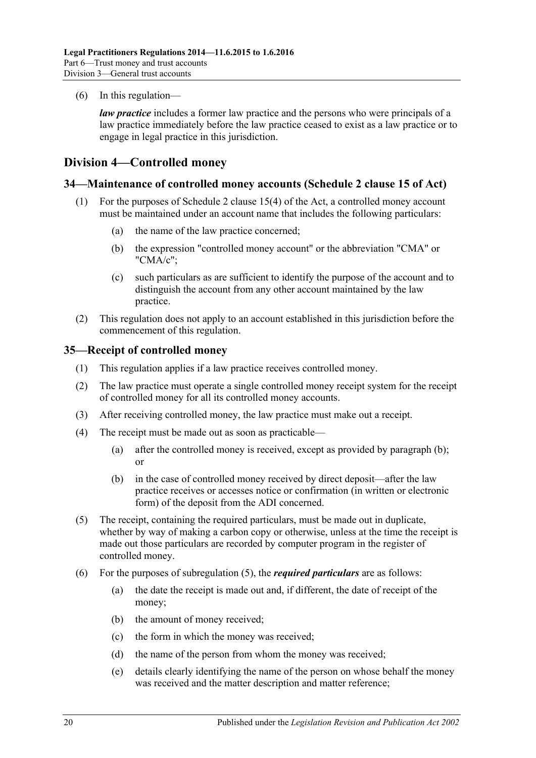(6) In this regulation—

*law practice* includes a former law practice and the persons who were principals of a law practice immediately before the law practice ceased to exist as a law practice or to engage in legal practice in this jurisdiction.

## <span id="page-19-0"></span>**Division 4—Controlled money**

#### <span id="page-19-1"></span>**34—Maintenance of controlled money accounts (Schedule 2 clause 15 of Act)**

- (1) For the purposes of Schedule 2 clause 15(4) of the Act, a controlled money account must be maintained under an account name that includes the following particulars:
	- (a) the name of the law practice concerned;
	- (b) the expression "controlled money account" or the abbreviation "CMA" or "CMA/c";
	- (c) such particulars as are sufficient to identify the purpose of the account and to distinguish the account from any other account maintained by the law practice.
- (2) This regulation does not apply to an account established in this jurisdiction before the commencement of this regulation.

#### <span id="page-19-2"></span>**35—Receipt of controlled money**

- (1) This regulation applies if a law practice receives controlled money.
- (2) The law practice must operate a single controlled money receipt system for the receipt of controlled money for all its controlled money accounts.
- (3) After receiving controlled money, the law practice must make out a receipt.
- <span id="page-19-3"></span>(4) The receipt must be made out as soon as practicable—
	- (a) after the controlled money is received, except as provided by [paragraph](#page-19-3) (b); or
	- (b) in the case of controlled money received by direct deposit—after the law practice receives or accesses notice or confirmation (in written or electronic form) of the deposit from the ADI concerned.
- <span id="page-19-4"></span>(5) The receipt, containing the required particulars, must be made out in duplicate, whether by way of making a carbon copy or otherwise, unless at the time the receipt is made out those particulars are recorded by computer program in the register of controlled money.
- (6) For the purposes of [subregulation](#page-19-4) (5), the *required particulars* are as follows:
	- (a) the date the receipt is made out and, if different, the date of receipt of the money;
	- (b) the amount of money received;
	- (c) the form in which the money was received;
	- (d) the name of the person from whom the money was received;
	- (e) details clearly identifying the name of the person on whose behalf the money was received and the matter description and matter reference;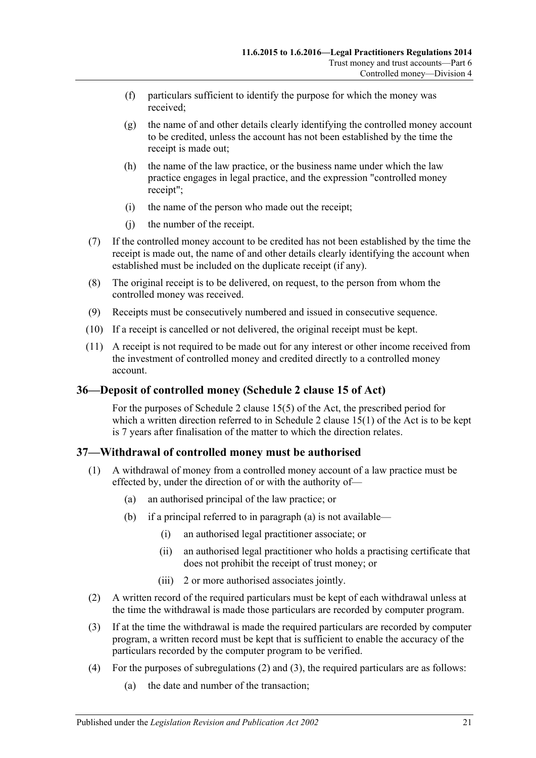- (f) particulars sufficient to identify the purpose for which the money was received;
- (g) the name of and other details clearly identifying the controlled money account to be credited, unless the account has not been established by the time the receipt is made out;
- (h) the name of the law practice, or the business name under which the law practice engages in legal practice, and the expression "controlled money receipt";
- (i) the name of the person who made out the receipt;
- (j) the number of the receipt.
- (7) If the controlled money account to be credited has not been established by the time the receipt is made out, the name of and other details clearly identifying the account when established must be included on the duplicate receipt (if any).
- (8) The original receipt is to be delivered, on request, to the person from whom the controlled money was received.
- (9) Receipts must be consecutively numbered and issued in consecutive sequence.
- (10) If a receipt is cancelled or not delivered, the original receipt must be kept.
- (11) A receipt is not required to be made out for any interest or other income received from the investment of controlled money and credited directly to a controlled money account.

## <span id="page-20-0"></span>**36—Deposit of controlled money (Schedule 2 clause 15 of Act)**

For the purposes of Schedule 2 clause 15(5) of the Act, the prescribed period for which a written direction referred to in Schedule 2 clause 15(1) of the Act is to be kept is 7 years after finalisation of the matter to which the direction relates.

## <span id="page-20-1"></span>**37—Withdrawal of controlled money must be authorised**

- <span id="page-20-2"></span>(1) A withdrawal of money from a controlled money account of a law practice must be effected by, under the direction of or with the authority of—
	- (a) an authorised principal of the law practice; or
	- (b) if a principal referred to in [paragraph](#page-20-2) (a) is not available—
		- (i) an authorised legal practitioner associate; or
		- (ii) an authorised legal practitioner who holds a practising certificate that does not prohibit the receipt of trust money; or
		- (iii) 2 or more authorised associates jointly.
- <span id="page-20-3"></span>(2) A written record of the required particulars must be kept of each withdrawal unless at the time the withdrawal is made those particulars are recorded by computer program.
- <span id="page-20-4"></span>(3) If at the time the withdrawal is made the required particulars are recorded by computer program, a written record must be kept that is sufficient to enable the accuracy of the particulars recorded by the computer program to be verified.
- <span id="page-20-5"></span>(4) For the purposes of [subregulations](#page-20-3) (2) and [\(3\),](#page-20-4) the required particulars are as follows:
	- (a) the date and number of the transaction;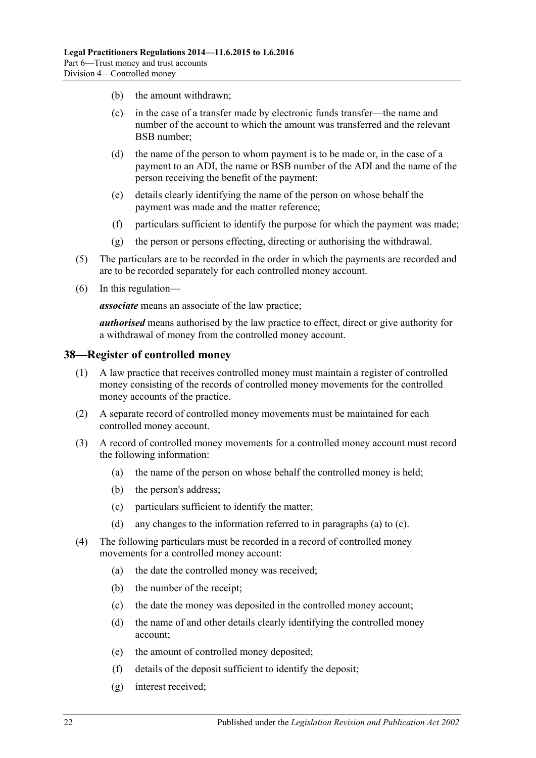- (b) the amount withdrawn;
- (c) in the case of a transfer made by electronic funds transfer—the name and number of the account to which the amount was transferred and the relevant BSB number;
- (d) the name of the person to whom payment is to be made or, in the case of a payment to an ADI, the name or BSB number of the ADI and the name of the person receiving the benefit of the payment;
- (e) details clearly identifying the name of the person on whose behalf the payment was made and the matter reference;
- (f) particulars sufficient to identify the purpose for which the payment was made;
- (g) the person or persons effecting, directing or authorising the withdrawal.
- (5) The particulars are to be recorded in the order in which the payments are recorded and are to be recorded separately for each controlled money account.
- (6) In this regulation—

*associate* means an associate of the law practice;

*authorised* means authorised by the law practice to effect, direct or give authority for a withdrawal of money from the controlled money account.

#### <span id="page-21-0"></span>**38—Register of controlled money**

- (1) A law practice that receives controlled money must maintain a register of controlled money consisting of the records of controlled money movements for the controlled money accounts of the practice.
- (2) A separate record of controlled money movements must be maintained for each controlled money account.
- <span id="page-21-1"></span>(3) A record of controlled money movements for a controlled money account must record the following information:
	- (a) the name of the person on whose behalf the controlled money is held;
	- (b) the person's address;
	- (c) particulars sufficient to identify the matter;
	- (d) any changes to the information referred to in [paragraphs](#page-21-1) (a) to [\(c\).](#page-21-2)
- <span id="page-21-2"></span>(4) The following particulars must be recorded in a record of controlled money movements for a controlled money account:
	- (a) the date the controlled money was received;
	- (b) the number of the receipt;
	- (c) the date the money was deposited in the controlled money account;
	- (d) the name of and other details clearly identifying the controlled money account;
	- (e) the amount of controlled money deposited;
	- (f) details of the deposit sufficient to identify the deposit;
	- (g) interest received;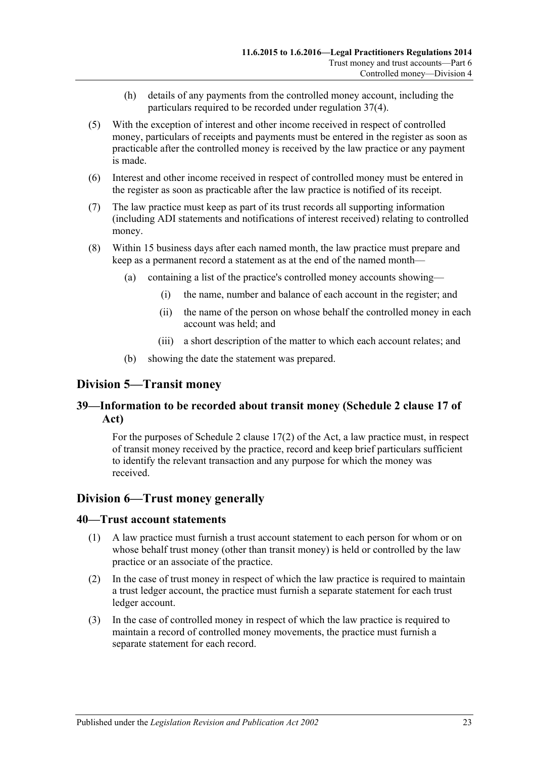- (h) details of any payments from the controlled money account, including the particulars required to be recorded under [regulation](#page-20-5) 37(4).
- (5) With the exception of interest and other income received in respect of controlled money, particulars of receipts and payments must be entered in the register as soon as practicable after the controlled money is received by the law practice or any payment is made.
- (6) Interest and other income received in respect of controlled money must be entered in the register as soon as practicable after the law practice is notified of its receipt.
- (7) The law practice must keep as part of its trust records all supporting information (including ADI statements and notifications of interest received) relating to controlled money.
- (8) Within 15 business days after each named month, the law practice must prepare and keep as a permanent record a statement as at the end of the named month—
	- (a) containing a list of the practice's controlled money accounts showing—
		- (i) the name, number and balance of each account in the register; and
		- (ii) the name of the person on whose behalf the controlled money in each account was held; and
		- (iii) a short description of the matter to which each account relates; and
	- (b) showing the date the statement was prepared.

## <span id="page-22-0"></span>**Division 5—Transit money**

## <span id="page-22-1"></span>**39—Information to be recorded about transit money (Schedule 2 clause 17 of Act)**

For the purposes of Schedule 2 clause 17(2) of the Act, a law practice must, in respect of transit money received by the practice, record and keep brief particulars sufficient to identify the relevant transaction and any purpose for which the money was received.

#### <span id="page-22-2"></span>**Division 6—Trust money generally**

#### <span id="page-22-3"></span>**40—Trust account statements**

- (1) A law practice must furnish a trust account statement to each person for whom or on whose behalf trust money (other than transit money) is held or controlled by the law practice or an associate of the practice.
- (2) In the case of trust money in respect of which the law practice is required to maintain a trust ledger account, the practice must furnish a separate statement for each trust ledger account.
- (3) In the case of controlled money in respect of which the law practice is required to maintain a record of controlled money movements, the practice must furnish a separate statement for each record.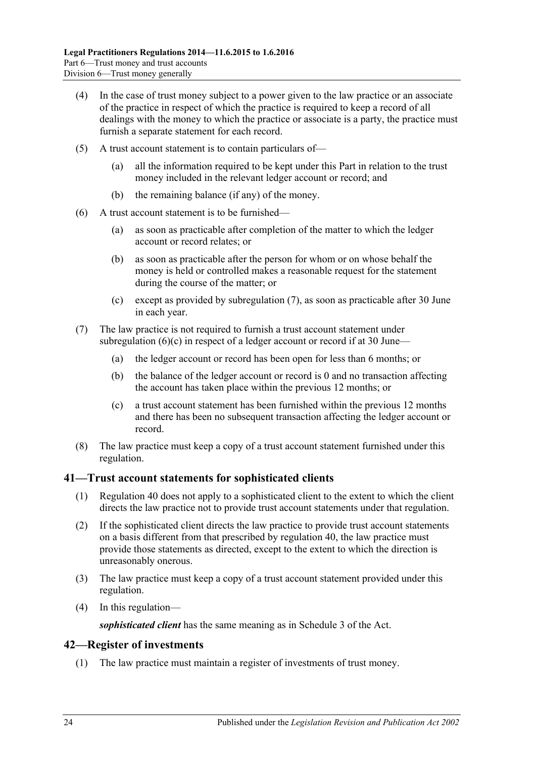- (4) In the case of trust money subject to a power given to the law practice or an associate of the practice in respect of which the practice is required to keep a record of all dealings with the money to which the practice or associate is a party, the practice must furnish a separate statement for each record.
- (5) A trust account statement is to contain particulars of—
	- (a) all the information required to be kept under this Part in relation to the trust money included in the relevant ledger account or record; and
	- (b) the remaining balance (if any) of the money.
- (6) A trust account statement is to be furnished—
	- (a) as soon as practicable after completion of the matter to which the ledger account or record relates; or
	- (b) as soon as practicable after the person for whom or on whose behalf the money is held or controlled makes a reasonable request for the statement during the course of the matter; or
	- (c) except as provided by [subregulation](#page-23-2) (7), as soon as practicable after 30 June in each year.
- <span id="page-23-3"></span><span id="page-23-2"></span>(7) The law practice is not required to furnish a trust account statement under [subregulation](#page-23-3)  $(6)(c)$  in respect of a ledger account or record if at 30 June—
	- (a) the ledger account or record has been open for less than 6 months; or
	- (b) the balance of the ledger account or record is 0 and no transaction affecting the account has taken place within the previous 12 months; or
	- (c) a trust account statement has been furnished within the previous 12 months and there has been no subsequent transaction affecting the ledger account or record.
- (8) The law practice must keep a copy of a trust account statement furnished under this regulation.

#### <span id="page-23-0"></span>**41—Trust account statements for sophisticated clients**

- (1) [Regulation](#page-22-3) 40 does not apply to a sophisticated client to the extent to which the client directs the law practice not to provide trust account statements under that regulation.
- (2) If the sophisticated client directs the law practice to provide trust account statements on a basis different from that prescribed by [regulation](#page-22-3) 40, the law practice must provide those statements as directed, except to the extent to which the direction is unreasonably onerous.
- (3) The law practice must keep a copy of a trust account statement provided under this regulation.
- (4) In this regulation—

*sophisticated client* has the same meaning as in Schedule 3 of the Act.

#### <span id="page-23-1"></span>**42—Register of investments**

(1) The law practice must maintain a register of investments of trust money.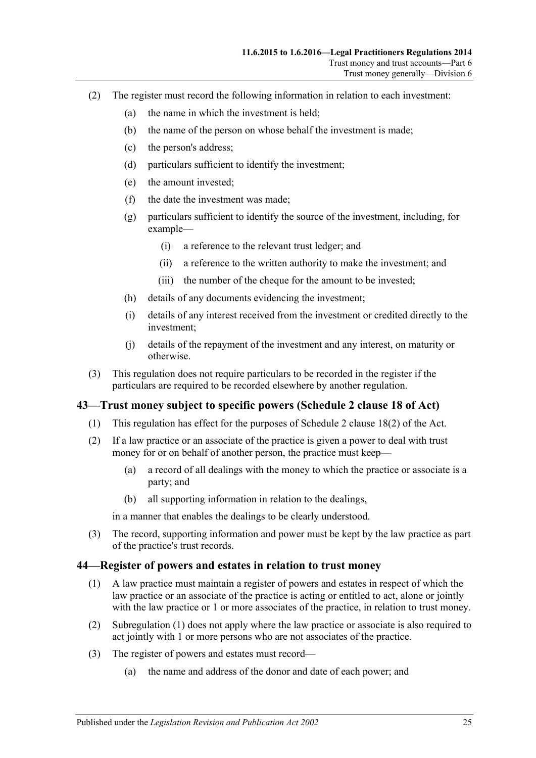- (2) The register must record the following information in relation to each investment:
	- (a) the name in which the investment is held;
	- (b) the name of the person on whose behalf the investment is made;
	- (c) the person's address;
	- (d) particulars sufficient to identify the investment;
	- (e) the amount invested;
	- (f) the date the investment was made;
	- (g) particulars sufficient to identify the source of the investment, including, for example—
		- (i) a reference to the relevant trust ledger; and
		- (ii) a reference to the written authority to make the investment; and
		- (iii) the number of the cheque for the amount to be invested;
	- (h) details of any documents evidencing the investment;
	- (i) details of any interest received from the investment or credited directly to the investment;
	- (j) details of the repayment of the investment and any interest, on maturity or otherwise.
- (3) This regulation does not require particulars to be recorded in the register if the particulars are required to be recorded elsewhere by another regulation.

#### <span id="page-24-0"></span>**43—Trust money subject to specific powers (Schedule 2 clause 18 of Act)**

- (1) This regulation has effect for the purposes of Schedule 2 clause 18(2) of the Act.
- (2) If a law practice or an associate of the practice is given a power to deal with trust money for or on behalf of another person, the practice must keep—
	- (a) a record of all dealings with the money to which the practice or associate is a party; and
	- (b) all supporting information in relation to the dealings,

in a manner that enables the dealings to be clearly understood.

(3) The record, supporting information and power must be kept by the law practice as part of the practice's trust records.

#### <span id="page-24-2"></span><span id="page-24-1"></span>**44—Register of powers and estates in relation to trust money**

- (1) A law practice must maintain a register of powers and estates in respect of which the law practice or an associate of the practice is acting or entitled to act, alone or jointly with the law practice or 1 or more associates of the practice, in relation to trust money.
- (2) [Subregulation](#page-24-2) (1) does not apply where the law practice or associate is also required to act jointly with 1 or more persons who are not associates of the practice.
- (3) The register of powers and estates must record—
	- (a) the name and address of the donor and date of each power; and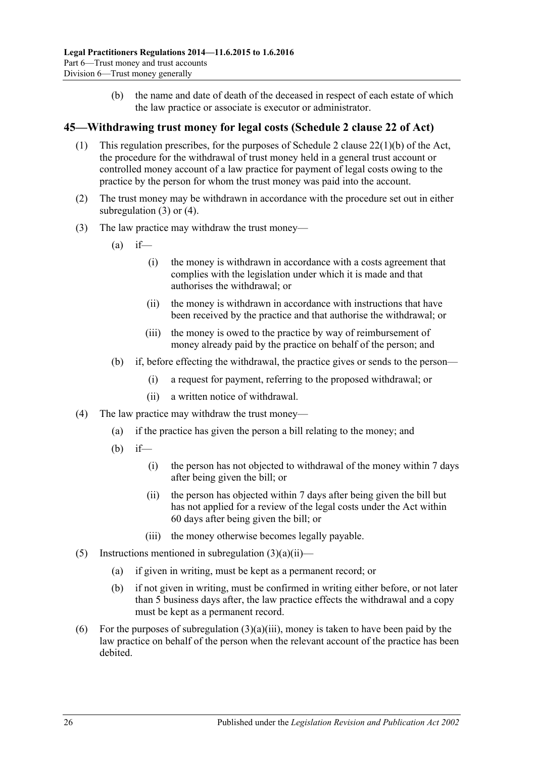(b) the name and date of death of the deceased in respect of each estate of which the law practice or associate is executor or administrator.

### <span id="page-25-0"></span>**45—Withdrawing trust money for legal costs (Schedule 2 clause 22 of Act)**

- (1) This regulation prescribes, for the purposes of Schedule 2 clause 22(1)(b) of the Act, the procedure for the withdrawal of trust money held in a general trust account or controlled money account of a law practice for payment of legal costs owing to the practice by the person for whom the trust money was paid into the account.
- (2) The trust money may be withdrawn in accordance with the procedure set out in either [subregulation](#page-25-1) (3) or [\(4\).](#page-25-2)
- <span id="page-25-3"></span><span id="page-25-1"></span>(3) The law practice may withdraw the trust money—
	- $(a)$  if—
		- (i) the money is withdrawn in accordance with a costs agreement that complies with the legislation under which it is made and that authorises the withdrawal; or
		- (ii) the money is withdrawn in accordance with instructions that have been received by the practice and that authorise the withdrawal; or
		- (iii) the money is owed to the practice by way of reimbursement of money already paid by the practice on behalf of the person; and
	- (b) if, before effecting the withdrawal, the practice gives or sends to the person—
		- (i) a request for payment, referring to the proposed withdrawal; or
		- (ii) a written notice of withdrawal.
- <span id="page-25-4"></span><span id="page-25-2"></span>(4) The law practice may withdraw the trust money—
	- (a) if the practice has given the person a bill relating to the money; and
	- (b) if—
		- (i) the person has not objected to withdrawal of the money within 7 days after being given the bill; or
		- (ii) the person has objected within 7 days after being given the bill but has not applied for a review of the legal costs under the Act within 60 days after being given the bill; or
		- (iii) the money otherwise becomes legally payable.
- (5) Instructions mentioned in [subregulation](#page-25-3)  $(3)(a)(ii)$ 
	- (a) if given in writing, must be kept as a permanent record; or
	- (b) if not given in writing, must be confirmed in writing either before, or not later than 5 business days after, the law practice effects the withdrawal and a copy must be kept as a permanent record.
- (6) For the purposes of [subregulation](#page-25-4)  $(3)(a)(iii)$ , money is taken to have been paid by the law practice on behalf of the person when the relevant account of the practice has been debited.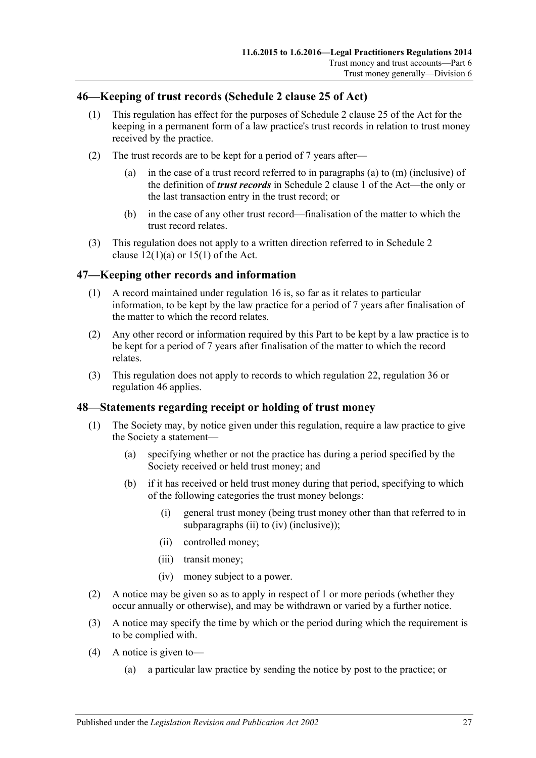## <span id="page-26-0"></span>**46—Keeping of trust records (Schedule 2 clause 25 of Act)**

- (1) This regulation has effect for the purposes of Schedule 2 clause 25 of the Act for the keeping in a permanent form of a law practice's trust records in relation to trust money received by the practice.
- (2) The trust records are to be kept for a period of 7 years after—
	- (a) in the case of a trust record referred to in paragraphs (a) to (m) (inclusive) of the definition of *trust records* in Schedule 2 clause 1 of the Act—the only or the last transaction entry in the trust record; or
	- (b) in the case of any other trust record—finalisation of the matter to which the trust record relates.
- (3) This regulation does not apply to a written direction referred to in Schedule 2 clause  $12(1)(a)$  or  $15(1)$  of the Act.

#### <span id="page-26-1"></span>**47—Keeping other records and information**

- (1) A record maintained under [regulation](#page-7-3) 16 is, so far as it relates to particular information, to be kept by the law practice for a period of 7 years after finalisation of the matter to which the record relates.
- (2) Any other record or information required by this Part to be kept by a law practice is to be kept for a period of 7 years after finalisation of the matter to which the record relates.
- (3) This regulation does not apply to records to which [regulation](#page-10-1) 22, [regulation](#page-20-0) 36 or [regulation](#page-26-0) 46 applies.

#### <span id="page-26-2"></span>**48—Statements regarding receipt or holding of trust money**

- (1) The Society may, by notice given under this regulation, require a law practice to give the Society a statement—
	- (a) specifying whether or not the practice has during a period specified by the Society received or held trust money; and
	- (b) if it has received or held trust money during that period, specifying to which of the following categories the trust money belongs:
		- (i) general trust money (being trust money other than that referred to in [subparagraphs](#page-26-3) (ii) to [\(iv\)](#page-26-4) (inclusive));
		- (ii) controlled money;
		- (iii) transit money;
		- (iv) money subject to a power.
- <span id="page-26-4"></span><span id="page-26-3"></span>(2) A notice may be given so as to apply in respect of 1 or more periods (whether they occur annually or otherwise), and may be withdrawn or varied by a further notice.
- (3) A notice may specify the time by which or the period during which the requirement is to be complied with.
- (4) A notice is given to—
	- (a) a particular law practice by sending the notice by post to the practice; or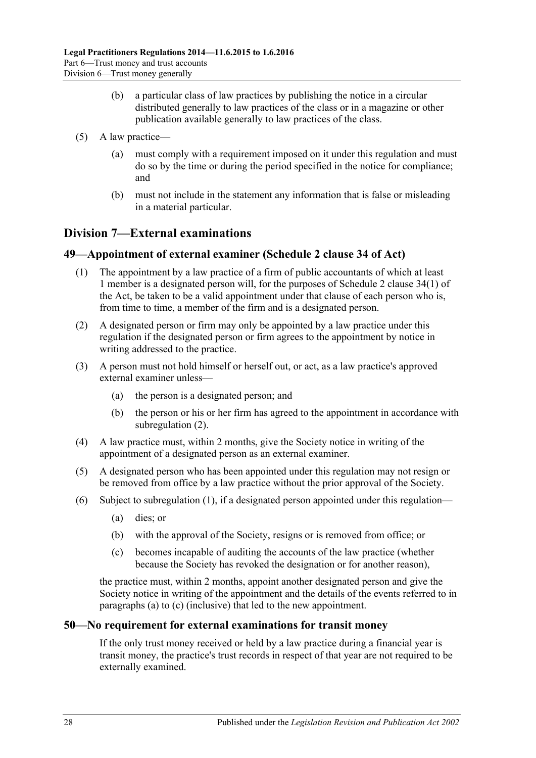- (b) a particular class of law practices by publishing the notice in a circular distributed generally to law practices of the class or in a magazine or other publication available generally to law practices of the class.
- (5) A law practice—
	- (a) must comply with a requirement imposed on it under this regulation and must do so by the time or during the period specified in the notice for compliance; and
	- (b) must not include in the statement any information that is false or misleading in a material particular.

## <span id="page-27-0"></span>**Division 7—External examinations**

## <span id="page-27-4"></span><span id="page-27-1"></span>**49—Appointment of external examiner (Schedule 2 clause 34 of Act)**

- (1) The appointment by a law practice of a firm of public accountants of which at least 1 member is a designated person will, for the purposes of Schedule 2 clause 34(1) of the Act, be taken to be a valid appointment under that clause of each person who is, from time to time, a member of the firm and is a designated person.
- <span id="page-27-3"></span>(2) A designated person or firm may only be appointed by a law practice under this regulation if the designated person or firm agrees to the appointment by notice in writing addressed to the practice.
- (3) A person must not hold himself or herself out, or act, as a law practice's approved external examiner unless—
	- (a) the person is a designated person; and
	- (b) the person or his or her firm has agreed to the appointment in accordance with [subregulation](#page-27-3) (2).
- (4) A law practice must, within 2 months, give the Society notice in writing of the appointment of a designated person as an external examiner.
- (5) A designated person who has been appointed under this regulation may not resign or be removed from office by a law practice without the prior approval of the Society.
- <span id="page-27-6"></span><span id="page-27-5"></span>(6) Subject to [subregulation](#page-27-4) (1), if a designated person appointed under this regulation—
	- (a) dies; or
	- (b) with the approval of the Society, resigns or is removed from office; or
	- (c) becomes incapable of auditing the accounts of the law practice (whether because the Society has revoked the designation or for another reason),

the practice must, within 2 months, appoint another designated person and give the Society notice in writing of the appointment and the details of the events referred to in [paragraphs](#page-27-5) (a) to [\(c\)](#page-27-6) (inclusive) that led to the new appointment.

#### <span id="page-27-2"></span>**50—No requirement for external examinations for transit money**

If the only trust money received or held by a law practice during a financial year is transit money, the practice's trust records in respect of that year are not required to be externally examined.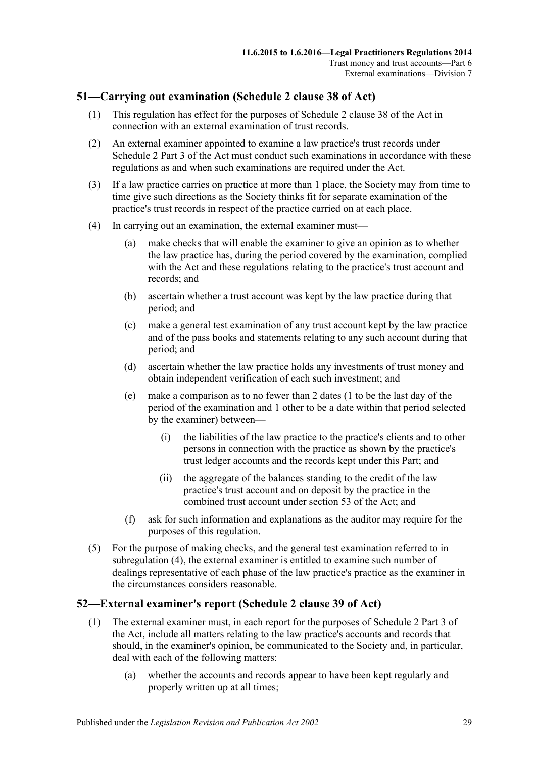## <span id="page-28-0"></span>**51—Carrying out examination (Schedule 2 clause 38 of Act)**

- (1) This regulation has effect for the purposes of Schedule 2 clause 38 of the Act in connection with an external examination of trust records.
- (2) An external examiner appointed to examine a law practice's trust records under Schedule 2 Part 3 of the Act must conduct such examinations in accordance with these regulations as and when such examinations are required under the Act.
- (3) If a law practice carries on practice at more than 1 place, the Society may from time to time give such directions as the Society thinks fit for separate examination of the practice's trust records in respect of the practice carried on at each place.
- <span id="page-28-3"></span><span id="page-28-2"></span>(4) In carrying out an examination, the external examiner must—
	- (a) make checks that will enable the examiner to give an opinion as to whether the law practice has, during the period covered by the examination, complied with the Act and these regulations relating to the practice's trust account and records; and
	- (b) ascertain whether a trust account was kept by the law practice during that period; and
	- (c) make a general test examination of any trust account kept by the law practice and of the pass books and statements relating to any such account during that period; and
	- (d) ascertain whether the law practice holds any investments of trust money and obtain independent verification of each such investment; and
	- (e) make a comparison as to no fewer than 2 dates (1 to be the last day of the period of the examination and 1 other to be a date within that period selected by the examiner) between—
		- (i) the liabilities of the law practice to the practice's clients and to other persons in connection with the practice as shown by the practice's trust ledger accounts and the records kept under this Part; and
		- (ii) the aggregate of the balances standing to the credit of the law practice's trust account and on deposit by the practice in the combined trust account under section 53 of the Act; and
	- (f) ask for such information and explanations as the auditor may require for the purposes of this regulation.
- (5) For the purpose of making checks, and the general test examination referred to in [subregulation](#page-28-2) (4), the external examiner is entitled to examine such number of dealings representative of each phase of the law practice's practice as the examiner in the circumstances considers reasonable.

#### <span id="page-28-1"></span>**52—External examiner's report (Schedule 2 clause 39 of Act)**

- (1) The external examiner must, in each report for the purposes of Schedule 2 Part 3 of the Act, include all matters relating to the law practice's accounts and records that should, in the examiner's opinion, be communicated to the Society and, in particular, deal with each of the following matters:
	- (a) whether the accounts and records appear to have been kept regularly and properly written up at all times;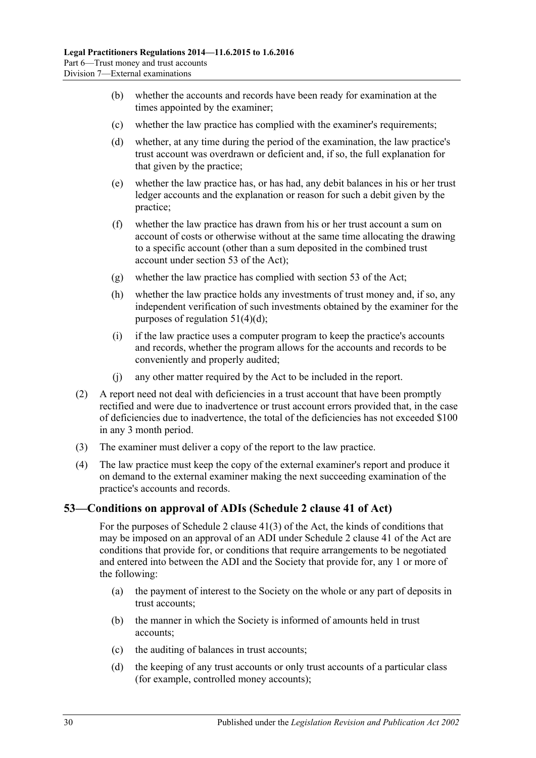- (b) whether the accounts and records have been ready for examination at the times appointed by the examiner;
- (c) whether the law practice has complied with the examiner's requirements;
- (d) whether, at any time during the period of the examination, the law practice's trust account was overdrawn or deficient and, if so, the full explanation for that given by the practice;
- (e) whether the law practice has, or has had, any debit balances in his or her trust ledger accounts and the explanation or reason for such a debit given by the practice;
- (f) whether the law practice has drawn from his or her trust account a sum on account of costs or otherwise without at the same time allocating the drawing to a specific account (other than a sum deposited in the combined trust account under section 53 of the Act);
- (g) whether the law practice has complied with section 53 of the Act;
- (h) whether the law practice holds any investments of trust money and, if so, any independent verification of such investments obtained by the examiner for the purposes of [regulation](#page-28-3) 51(4)(d);
- (i) if the law practice uses a computer program to keep the practice's accounts and records, whether the program allows for the accounts and records to be conveniently and properly audited;
- (j) any other matter required by the Act to be included in the report.
- (2) A report need not deal with deficiencies in a trust account that have been promptly rectified and were due to inadvertence or trust account errors provided that, in the case of deficiencies due to inadvertence, the total of the deficiencies has not exceeded \$100 in any 3 month period.
- (3) The examiner must deliver a copy of the report to the law practice.
- (4) The law practice must keep the copy of the external examiner's report and produce it on demand to the external examiner making the next succeeding examination of the practice's accounts and records.

#### <span id="page-29-0"></span>**53—Conditions on approval of ADIs (Schedule 2 clause 41 of Act)**

For the purposes of Schedule 2 clause 41(3) of the Act, the kinds of conditions that may be imposed on an approval of an ADI under Schedule 2 clause 41 of the Act are conditions that provide for, or conditions that require arrangements to be negotiated and entered into between the ADI and the Society that provide for, any 1 or more of the following:

- <span id="page-29-1"></span>(a) the payment of interest to the Society on the whole or any part of deposits in trust accounts;
- (b) the manner in which the Society is informed of amounts held in trust accounts;
- (c) the auditing of balances in trust accounts;
- <span id="page-29-2"></span>(d) the keeping of any trust accounts or only trust accounts of a particular class (for example, controlled money accounts);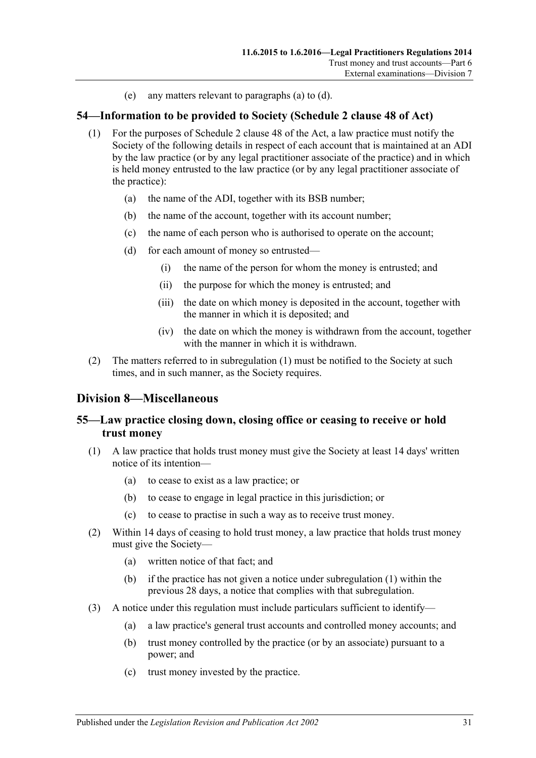(e) any matters relevant to [paragraphs](#page-29-1) (a) to [\(d\).](#page-29-2)

#### <span id="page-30-4"></span><span id="page-30-0"></span>**54—Information to be provided to Society (Schedule 2 clause 48 of Act)**

- (1) For the purposes of Schedule 2 clause 48 of the Act, a law practice must notify the Society of the following details in respect of each account that is maintained at an ADI by the law practice (or by any legal practitioner associate of the practice) and in which is held money entrusted to the law practice (or by any legal practitioner associate of the practice):
	- (a) the name of the ADI, together with its BSB number;
	- (b) the name of the account, together with its account number;
	- (c) the name of each person who is authorised to operate on the account;
	- (d) for each amount of money so entrusted—
		- (i) the name of the person for whom the money is entrusted; and
		- (ii) the purpose for which the money is entrusted; and
		- (iii) the date on which money is deposited in the account, together with the manner in which it is deposited; and
		- (iv) the date on which the money is withdrawn from the account, together with the manner in which it is withdrawn.
- (2) The matters referred to in [subregulation](#page-30-4) (1) must be notified to the Society at such times, and in such manner, as the Society requires.

#### <span id="page-30-1"></span>**Division 8—Miscellaneous**

## <span id="page-30-2"></span>**55—Law practice closing down, closing office or ceasing to receive or hold trust money**

- <span id="page-30-3"></span>(1) A law practice that holds trust money must give the Society at least 14 days' written notice of its intention—
	- (a) to cease to exist as a law practice; or
	- (b) to cease to engage in legal practice in this jurisdiction; or
	- (c) to cease to practise in such a way as to receive trust money.
- (2) Within 14 days of ceasing to hold trust money, a law practice that holds trust money must give the Society—
	- (a) written notice of that fact; and
	- (b) if the practice has not given a notice under [subregulation](#page-30-3) (1) within the previous 28 days, a notice that complies with that subregulation.
- (3) A notice under this regulation must include particulars sufficient to identify—
	- (a) a law practice's general trust accounts and controlled money accounts; and
	- (b) trust money controlled by the practice (or by an associate) pursuant to a power; and
	- (c) trust money invested by the practice.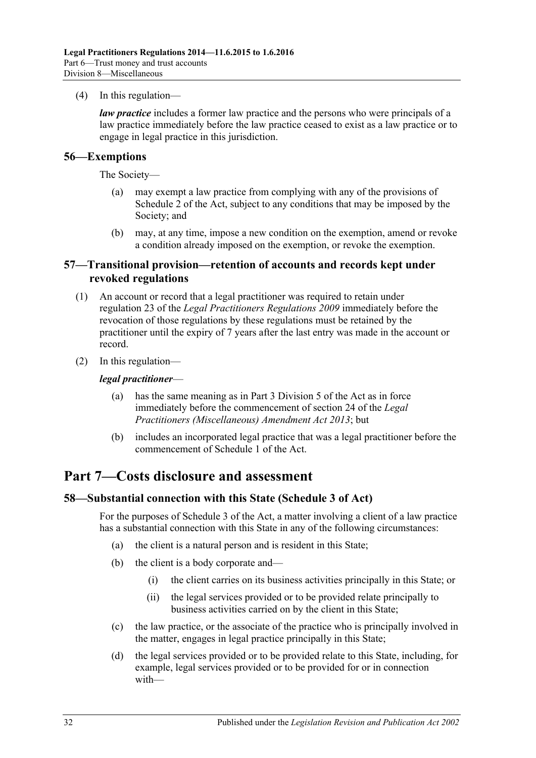(4) In this regulation—

*law practice* includes a former law practice and the persons who were principals of a law practice immediately before the law practice ceased to exist as a law practice or to engage in legal practice in this jurisdiction.

#### <span id="page-31-0"></span>**56—Exemptions**

The Society—

- (a) may exempt a law practice from complying with any of the provisions of Schedule 2 of the Act, subject to any conditions that may be imposed by the Society; and
- (b) may, at any time, impose a new condition on the exemption, amend or revoke a condition already imposed on the exemption, or revoke the exemption.

#### <span id="page-31-1"></span>**57—Transitional provision—retention of accounts and records kept under revoked regulations**

- (1) An account or record that a legal practitioner was required to retain under regulation 23 of the *[Legal Practitioners Regulations](http://www.legislation.sa.gov.au/index.aspx?action=legref&type=subordleg&legtitle=Legal%20Practitioners%20Regulations%202009) 2009* immediately before the revocation of those regulations by these regulations must be retained by the practitioner until the expiry of 7 years after the last entry was made in the account or record.
- (2) In this regulation—

#### *legal practitioner*—

- (a) has the same meaning as in Part 3 Division 5 of the Act as in force immediately before the commencement of section 24 of the *[Legal](http://www.legislation.sa.gov.au/index.aspx?action=legref&type=act&legtitle=Legal%20Practitioners%20(Miscellaneous)%20Amendment%20Act%202013)  [Practitioners \(Miscellaneous\) Amendment Act](http://www.legislation.sa.gov.au/index.aspx?action=legref&type=act&legtitle=Legal%20Practitioners%20(Miscellaneous)%20Amendment%20Act%202013) 2013*; but
- (b) includes an incorporated legal practice that was a legal practitioner before the commencement of Schedule 1 of the Act.

# <span id="page-31-2"></span>**Part 7—Costs disclosure and assessment**

#### <span id="page-31-3"></span>**58—Substantial connection with this State (Schedule 3 of Act)**

For the purposes of Schedule 3 of the Act, a matter involving a client of a law practice has a substantial connection with this State in any of the following circumstances:

- (a) the client is a natural person and is resident in this State;
- (b) the client is a body corporate and—
	- (i) the client carries on its business activities principally in this State; or
	- (ii) the legal services provided or to be provided relate principally to business activities carried on by the client in this State;
- (c) the law practice, or the associate of the practice who is principally involved in the matter, engages in legal practice principally in this State;
- (d) the legal services provided or to be provided relate to this State, including, for example, legal services provided or to be provided for or in connection with—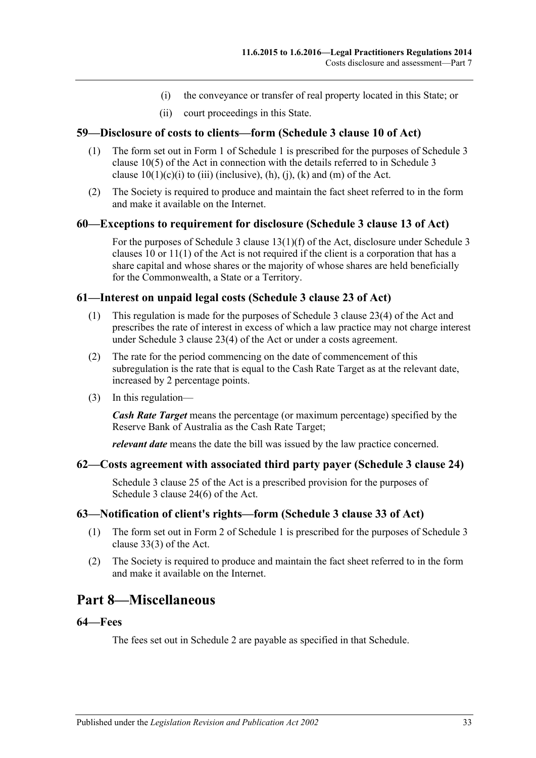- (i) the conveyance or transfer of real property located in this State; or
- (ii) court proceedings in this State.

#### <span id="page-32-0"></span>**59—Disclosure of costs to clients—form (Schedule 3 clause 10 of Act)**

- (1) The form set out in Form 1 of [Schedule](#page-35-0) 1 is prescribed for the purposes of Schedule 3 clause 10(5) of the Act in connection with the details referred to in Schedule 3 clause  $10(1)(c)(i)$  to (iii) (inclusive), (h), (j), (k) and (m) of the Act.
- (2) The Society is required to produce and maintain the fact sheet referred to in the form and make it available on the Internet.

#### <span id="page-32-1"></span>**60—Exceptions to requirement for disclosure (Schedule 3 clause 13 of Act)**

For the purposes of Schedule 3 clause 13(1)(f) of the Act, disclosure under Schedule 3 clauses 10 or 11(1) of the Act is not required if the client is a corporation that has a share capital and whose shares or the majority of whose shares are held beneficially for the Commonwealth, a State or a Territory.

#### <span id="page-32-2"></span>**61—Interest on unpaid legal costs (Schedule 3 clause 23 of Act)**

- (1) This regulation is made for the purposes of Schedule 3 clause 23(4) of the Act and prescribes the rate of interest in excess of which a law practice may not charge interest under Schedule 3 clause 23(4) of the Act or under a costs agreement.
- (2) The rate for the period commencing on the date of commencement of this subregulation is the rate that is equal to the Cash Rate Target as at the relevant date, increased by 2 percentage points.
- (3) In this regulation—

*Cash Rate Target* means the percentage (or maximum percentage) specified by the Reserve Bank of Australia as the Cash Rate Target;

*relevant date* means the date the bill was issued by the law practice concerned.

#### <span id="page-32-3"></span>**62—Costs agreement with associated third party payer (Schedule 3 clause 24)**

Schedule 3 clause 25 of the Act is a prescribed provision for the purposes of Schedule 3 clause 24(6) of the Act.

#### <span id="page-32-4"></span>**63—Notification of client's rights—form (Schedule 3 clause 33 of Act)**

- (1) The form set out in Form 2 of [Schedule](#page-35-0) 1 is prescribed for the purposes of Schedule 3 clause 33(3) of the Act.
- (2) The Society is required to produce and maintain the fact sheet referred to in the form and make it available on the Internet.

# <span id="page-32-5"></span>**Part 8—Miscellaneous**

#### <span id="page-32-6"></span>**64—Fees**

The fees set out in [Schedule](#page-36-0) 2 are payable as specified in that Schedule.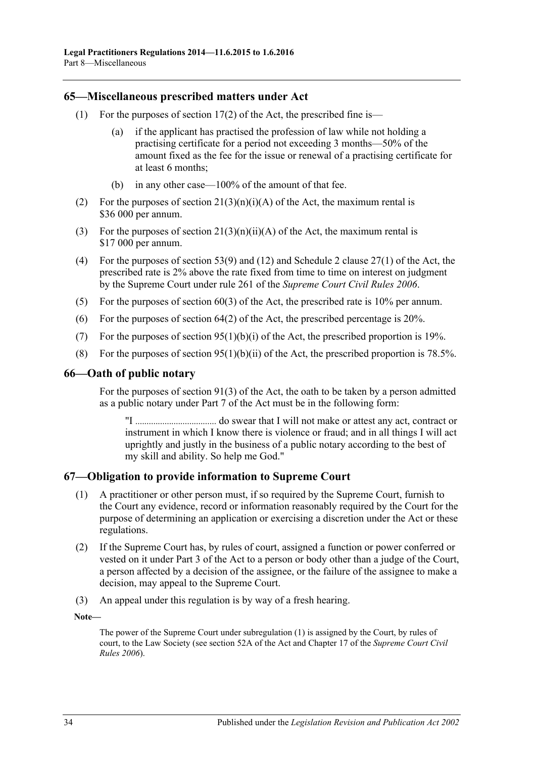#### <span id="page-33-0"></span>**65—Miscellaneous prescribed matters under Act**

- (1) For the purposes of section  $17(2)$  of the Act, the prescribed fine is—
	- (a) if the applicant has practised the profession of law while not holding a practising certificate for a period not exceeding 3 months—50% of the amount fixed as the fee for the issue or renewal of a practising certificate for at least 6 months;
	- (b) in any other case—100% of the amount of that fee.
- (2) For the purposes of section  $21(3)(n)(i)(A)$  of the Act, the maximum rental is \$36 000 per annum.
- (3) For the purposes of section  $21(3)(n)(ii)(A)$  of the Act, the maximum rental is \$17 000 per annum.
- (4) For the purposes of section 53(9) and (12) and Schedule 2 clause 27(1) of the Act, the prescribed rate is 2% above the rate fixed from time to time on interest on judgment by the Supreme Court under rule 261 of the *Supreme Court Civil Rules 2006*.
- (5) For the purposes of section  $60(3)$  of the Act, the prescribed rate is 10% per annum.
- (6) For the purposes of section 64(2) of the Act, the prescribed percentage is 20%.
- (7) For the purposes of section  $95(1)(b)(i)$  of the Act, the prescribed proportion is 19%.
- (8) For the purposes of section  $95(1)(b)(ii)$  of the Act, the prescribed proportion is 78.5%.

#### <span id="page-33-1"></span>**66—Oath of public notary**

For the purposes of section 91(3) of the Act, the oath to be taken by a person admitted as a public notary under Part 7 of the Act must be in the following form:

"I .................................... do swear that I will not make or attest any act, contract or instrument in which I know there is violence or fraud; and in all things I will act uprightly and justly in the business of a public notary according to the best of my skill and ability. So help me God."

#### <span id="page-33-3"></span><span id="page-33-2"></span>**67—Obligation to provide information to Supreme Court**

- (1) A practitioner or other person must, if so required by the Supreme Court, furnish to the Court any evidence, record or information reasonably required by the Court for the purpose of determining an application or exercising a discretion under the Act or these regulations.
- (2) If the Supreme Court has, by rules of court, assigned a function or power conferred or vested on it under Part 3 of the Act to a person or body other than a judge of the Court, a person affected by a decision of the assignee, or the failure of the assignee to make a decision, may appeal to the Supreme Court.
- (3) An appeal under this regulation is by way of a fresh hearing.

**Note—**

The power of the Supreme Court under [subregulation](#page-33-3) (1) is assigned by the Court, by rules of court, to the Law Society (see section 52A of the Act and Chapter 17 of the *Supreme Court Civil Rules 2006*).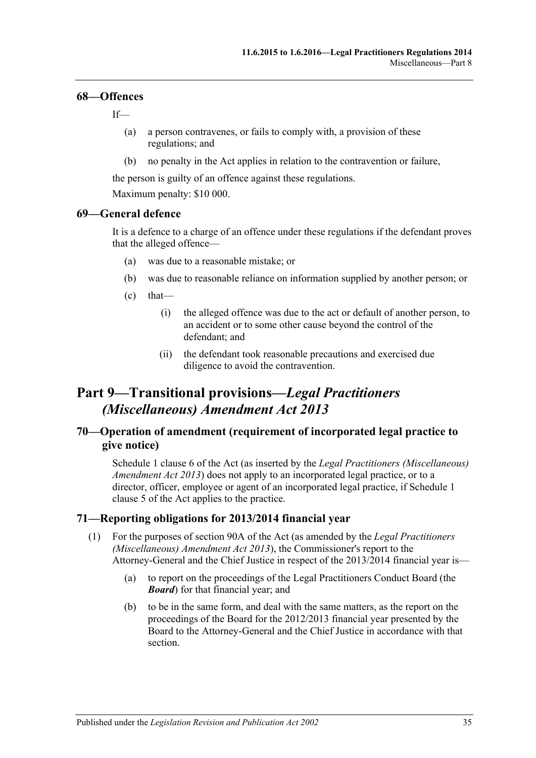#### <span id="page-34-0"></span>**68—Offences**

If—

- (a) a person contravenes, or fails to comply with, a provision of these regulations; and
- (b) no penalty in the Act applies in relation to the contravention or failure,

the person is guilty of an offence against these regulations.

Maximum penalty: \$10 000.

#### <span id="page-34-1"></span>**69—General defence**

It is a defence to a charge of an offence under these regulations if the defendant proves that the alleged offence—

- (a) was due to a reasonable mistake; or
- (b) was due to reasonable reliance on information supplied by another person; or
- $(c)$  that—
	- (i) the alleged offence was due to the act or default of another person, to an accident or to some other cause beyond the control of the defendant; and
	- (ii) the defendant took reasonable precautions and exercised due diligence to avoid the contravention.

# <span id="page-34-2"></span>**Part 9—Transitional provisions—***Legal Practitioners (Miscellaneous) Amendment Act 2013*

## <span id="page-34-3"></span>**70—Operation of amendment (requirement of incorporated legal practice to give notice)**

Schedule 1 clause 6 of the Act (as inserted by the *[Legal Practitioners \(Miscellaneous\)](http://www.legislation.sa.gov.au/index.aspx?action=legref&type=act&legtitle=Legal%20Practitioners%20(Miscellaneous)%20Amendment%20Act%202013)  [Amendment Act](http://www.legislation.sa.gov.au/index.aspx?action=legref&type=act&legtitle=Legal%20Practitioners%20(Miscellaneous)%20Amendment%20Act%202013) 2013*) does not apply to an incorporated legal practice, or to a director, officer, employee or agent of an incorporated legal practice, if Schedule 1 clause 5 of the Act applies to the practice.

#### <span id="page-34-5"></span><span id="page-34-4"></span>**71—Reporting obligations for 2013/2014 financial year**

- (1) For the purposes of section 90A of the Act (as amended by the *[Legal Practitioners](http://www.legislation.sa.gov.au/index.aspx?action=legref&type=act&legtitle=Legal%20Practitioners%20(Miscellaneous)%20Amendment%20Act%202013)  [\(Miscellaneous\) Amendment Act](http://www.legislation.sa.gov.au/index.aspx?action=legref&type=act&legtitle=Legal%20Practitioners%20(Miscellaneous)%20Amendment%20Act%202013) 2013*), the Commissioner's report to the Attorney-General and the Chief Justice in respect of the 2013/2014 financial year is—
	- (a) to report on the proceedings of the Legal Practitioners Conduct Board (the *Board*) for that financial year; and
	- (b) to be in the same form, and deal with the same matters, as the report on the proceedings of the Board for the 2012/2013 financial year presented by the Board to the Attorney-General and the Chief Justice in accordance with that section.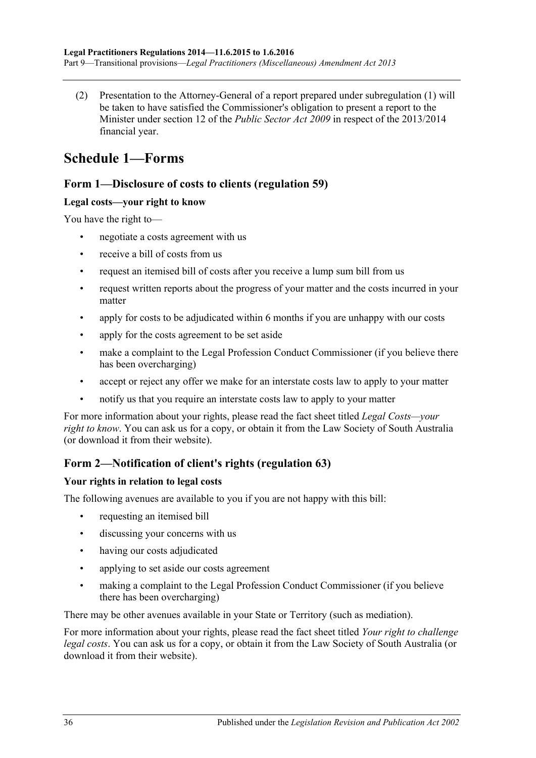(2) Presentation to the Attorney-General of a report prepared under [subregulation](#page-34-5) (1) will be taken to have satisfied the Commissioner's obligation to present a report to the Minister under section 12 of the *[Public Sector Act](http://www.legislation.sa.gov.au/index.aspx?action=legref&type=act&legtitle=Public%20Sector%20Act%202009) 2009* in respect of the 2013/2014 financial year.

# <span id="page-35-0"></span>**Schedule 1—Forms**

## **Form 1—Disclosure of costs to clients [\(regulation](#page-32-0) 59)**

## **Legal costs—your right to know**

You have the right to—

- negotiate a costs agreement with us
- receive a bill of costs from us
- request an itemised bill of costs after you receive a lump sum bill from us
- request written reports about the progress of your matter and the costs incurred in your matter
- apply for costs to be adjudicated within 6 months if you are unhappy with our costs
- apply for the costs agreement to be set aside
- make a complaint to the Legal Profession Conduct Commissioner (if you believe there has been overcharging)
- accept or reject any offer we make for an interstate costs law to apply to your matter
- notify us that you require an interstate costs law to apply to your matter

For more information about your rights, please read the fact sheet titled *Legal Costs—your right to know*. You can ask us for a copy, or obtain it from the Law Society of South Australia (or download it from their website).

## **Form 2—Notification of client's rights [\(regulation](#page-32-4) 63)**

## **Your rights in relation to legal costs**

The following avenues are available to you if you are not happy with this bill:

- requesting an itemised bill
- discussing your concerns with us
- having our costs adjudicated
- applying to set aside our costs agreement
- making a complaint to the Legal Profession Conduct Commissioner (if you believe there has been overcharging)

There may be other avenues available in your State or Territory (such as mediation).

For more information about your rights, please read the fact sheet titled *Your right to challenge legal costs*. You can ask us for a copy, or obtain it from the Law Society of South Australia (or download it from their website).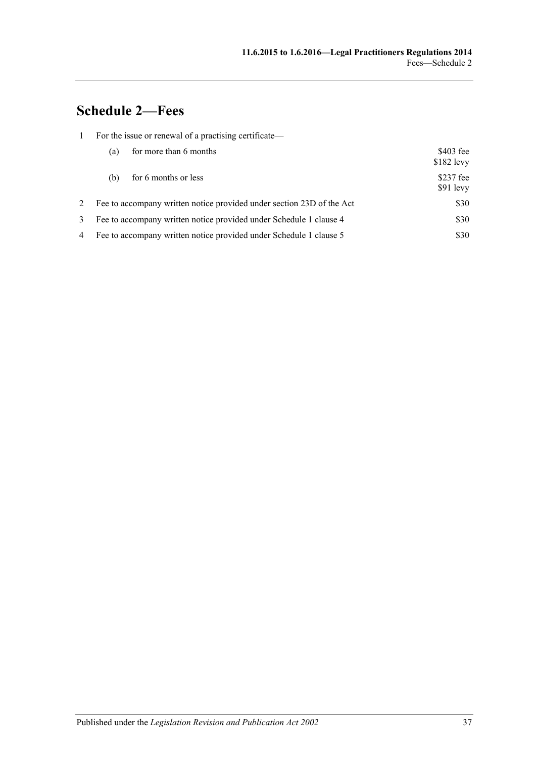# <span id="page-36-0"></span>**Schedule 2—Fees**

|   | For the issue or renewal of a practising certificate—                 |                        |                           |  |
|---|-----------------------------------------------------------------------|------------------------|---------------------------|--|
|   | (a)                                                                   | for more than 6 months | $$403$ fee<br>$$182$ levy |  |
|   | for 6 months or less<br>(b)                                           |                        | $$237$ fee<br>$$91$ levy  |  |
| 2 | Fee to accompany written notice provided under section 23D of the Act |                        | \$30                      |  |
| 3 | Fee to accompany written notice provided under Schedule 1 clause 4    |                        | \$30                      |  |
| 4 | Fee to accompany written notice provided under Schedule 1 clause 5    |                        | \$30                      |  |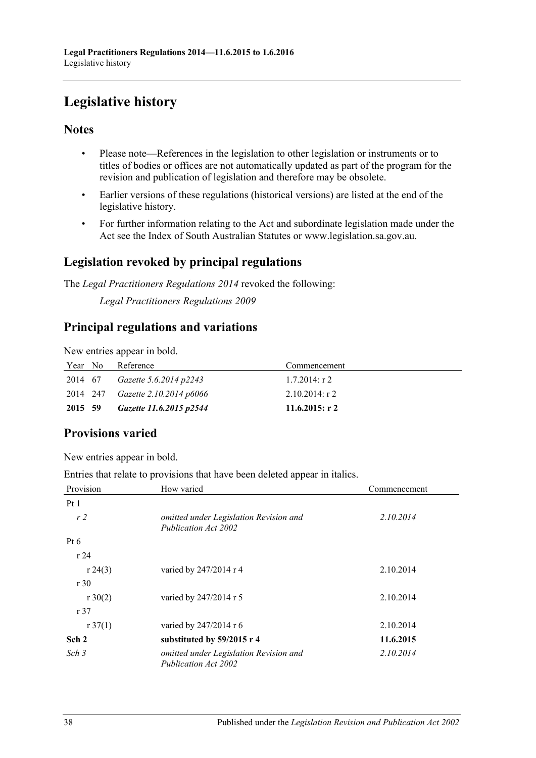# <span id="page-37-0"></span>**Legislative history**

## **Notes**

- Please note—References in the legislation to other legislation or instruments or to titles of bodies or offices are not automatically updated as part of the program for the revision and publication of legislation and therefore may be obsolete.
- Earlier versions of these regulations (historical versions) are listed at the end of the legislative history.
- For further information relating to the Act and subordinate legislation made under the Act see the Index of South Australian Statutes or www.legislation.sa.gov.au.

## **Legislation revoked by principal regulations**

The *Legal Practitioners Regulations 2014* revoked the following:

*Legal Practitioners Regulations 2009*

## **Principal regulations and variations**

New entries appear in bold.

| Year No | Reference                        | Commencement      |
|---------|----------------------------------|-------------------|
| 2014 67 | Gazette 5.6.2014 p2243           | $1.7.2014$ : r 2  |
|         | 2014 247 Gazette 2.10.2014 p6066 | $2.10.2014$ : r 2 |
| 2015 59 | Gazette 11.6.2015 p2544          | 11.6.2015: r 2    |

# **Provisions varied**

New entries appear in bold.

Entries that relate to provisions that have been deleted appear in italics.

| Provision           | How varied                                                     | Commencement |
|---------------------|----------------------------------------------------------------|--------------|
| Pt1                 |                                                                |              |
| r <sub>2</sub>      | omitted under Legislation Revision and<br>Publication Act 2002 | 2.10.2014    |
| Pt 6                |                                                                |              |
| r24                 |                                                                |              |
| r 24(3)             | varied by 247/2014 r 4                                         | 2.10.2014    |
| r30                 |                                                                |              |
| $r \, 30(2)$        | varied by 247/2014 r 5                                         | 2.10.2014    |
| r37                 |                                                                |              |
| $r \frac{37(1)}{2}$ | varied by 247/2014 r 6                                         | 2.10.2014    |
| Sch 2               | substituted by 59/2015 r 4                                     | 11.6.2015    |
| Sch <sub>3</sub>    | omitted under Legislation Revision and<br>Publication Act 2002 | 2.10.2014    |